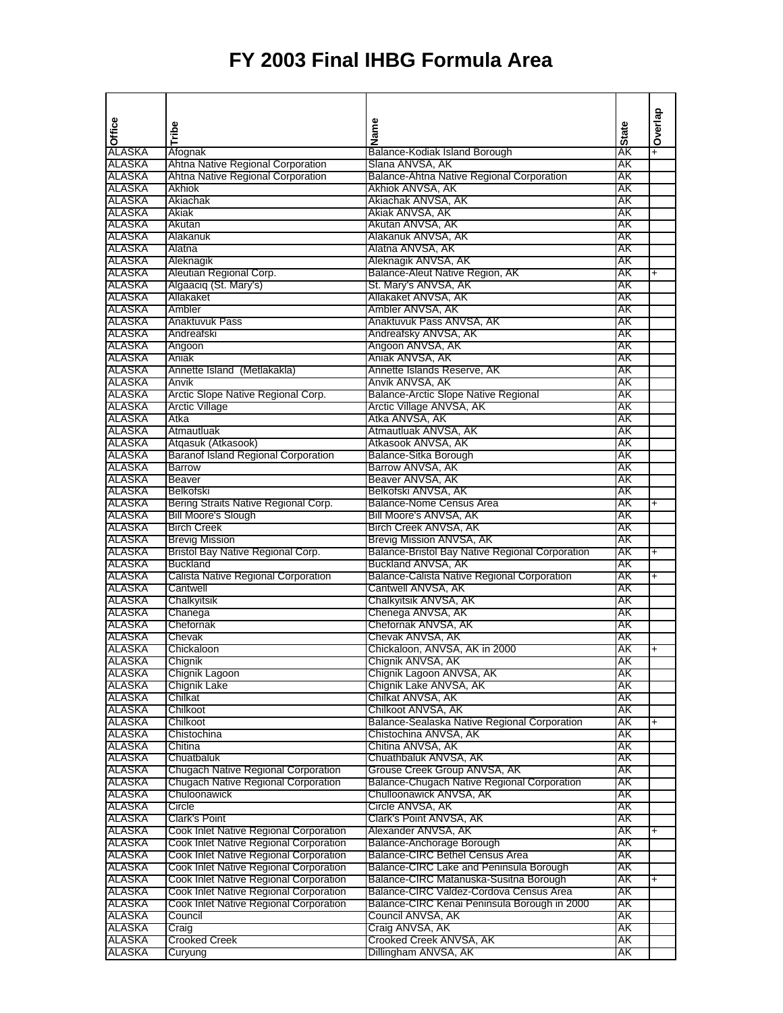|                         |                                                                        |                                                              |              | Overlap   |
|-------------------------|------------------------------------------------------------------------|--------------------------------------------------------------|--------------|-----------|
| Office                  | Tribe                                                                  | Name                                                         | <b>State</b> |           |
|                         |                                                                        |                                                              |              |           |
| ALASKA                  | Afognak                                                                | Balance-Kodiak Island Borough                                | ĂK<br>ΑK     | Ŧ         |
| ALASKA<br>ALASKA        | Ahtna Native Regional Corporation<br>Ahtna Native Regional Corporation | Slana ANVSA, AK<br>Balance-Ahtna Native Regional Corporation | AΚ           |           |
| ALASKA                  | <b>Akhiok</b>                                                          | Akhiok ANVSA, AK                                             | AΚ           |           |
| ALASKA                  | Akiachak                                                               | Akiachak ANVSA, AK                                           | ΑK           |           |
| ALASKA                  | Akiak                                                                  | Akiak ANVSA, AK                                              | AΚ           |           |
| ALASKA                  | Akutan                                                                 | Akutan ANVSA, AK                                             | AΚ           |           |
| ALASKA                  | Alakanuk                                                               | Alakanuk ANVSA, AK                                           | AΚ           |           |
| ALASKA                  | Alatna                                                                 | Alatna ANVSA, AK                                             | AΚ           |           |
| ALASKA                  | Aleknagik                                                              | Aleknagik ANVSA, AK                                          | AΚ           |           |
| ALASKA                  | Aleutian Regional Corp.                                                | Balance-Aleut Native Region, AK                              | AΚ           | $\ddot{}$ |
| ALASKA                  | Algaaciq (St. Mary's)                                                  | St. Mary's ANVSA, AK                                         | ΑK           |           |
| <b>ALASKA</b><br>ALASKA | Allakaket<br>Ambler                                                    | Allakaket ANVSA, AK<br>Ambler ANVSA, AK                      | AΚ<br>AΚ     |           |
| ALASKA                  | Anaktuvuk Pass                                                         | Anaktuvuk Pass ANVSA, AK                                     | AΚ           |           |
| ALASKA                  | Andreafski                                                             | Andreafsky ANVSA, AK                                         | AΚ           |           |
| ALASKA                  | Angoon                                                                 | Angoon ANVSA, AK                                             | AΚ           |           |
| ALASKA                  | Aniak                                                                  | Aniak ANVSA, AK                                              | AΚ           |           |
| ALASKA                  | Annette Island (Metlakakla)                                            | Annette Islands Reserve, AK                                  | AΚ           |           |
| ALASKA                  | Anvik                                                                  | Anvik ANVSA, AK                                              | AΚ           |           |
| ALASKA                  | Arctic Slope Native Regional Corp.                                     | Balance-Arctic Slope Native Regional                         | AΚ           |           |
| ALASKA                  | <b>Arctic Village</b>                                                  | Arctic Village ANVSA, AK                                     | AΚ           |           |
| ALASKA                  | Atka                                                                   | Atka ANVSA, AK                                               | AΚ           |           |
| ALASKA                  | Atmautluak                                                             | Atmautluak ANVSA, AK                                         | AΚ           |           |
| ALASKA                  | Atqasuk (Atkasook)                                                     | Atkasook ANVSA, AK                                           | AΚ           |           |
| ALASKA<br>ALASKA        | <b>Baranof Island Regional Corporation</b>                             | Balance-Sitka Borough                                        | AΚ           |           |
| ALASKA                  | <b>Barrow</b><br><b>Beaver</b>                                         | Barrow ANVSA, AK<br>Beaver ANVSA, AK                         | AΚ<br>AΚ     |           |
| ALASKA                  | <b>Belkofski</b>                                                       | Belkofski ANVSA, AK                                          | AΚ           |           |
| ALASKA                  | Bering Straits Native Regional Corp.                                   | <b>Balance-Nome Census Area</b>                              | AΚ           | $\ddot{}$ |
| ALASKA                  | <b>Bill Moore's Slough</b>                                             | Bill Moore's ANVSA, AK                                       | AΚ           |           |
| ALASKA                  | <b>Birch Creek</b>                                                     | Birch Creek ANVSA, AK                                        | AΚ           |           |
| ALASKA                  | <b>Brevig Mission</b>                                                  | Brevig Mission ANVSA, AK                                     | AΚ           |           |
| ALASKA                  | Bristol Bay Native Regional Corp.                                      | Balance-Bristol Bay Native Regional Corporation              | AΚ           | $\ddot{}$ |
| ALASKA                  | <b>Buckland</b>                                                        | Buckland ANVSA, AK                                           | AΚ           |           |
| ALASKA                  | Calista Native Regional Corporation                                    | <b>Balance-Calista Native Regional Corporation</b>           | AΚ           | +         |
| ALASKA                  | Cantwell                                                               | Cantwell ANVSA, AK                                           | AΚ           |           |
| ALASKA                  | Chalkyitsik                                                            | Chalkyitsik ANVSA, AK                                        | AΚ           |           |
| ALASKA<br>ALASKA        | Chanega<br>Chefornak                                                   | Chenega ANVSA, AK<br>Chefornak ANVSA, AK                     | AΚ<br>AΚ     |           |
| ALASKA                  | Chevak                                                                 | Chevak ANVSA, AK                                             | AΚ           |           |
| ALASKA                  | Chickaloon                                                             | Chickaloon, ANVSA, AK in 2000                                | AΚ           | $\ddot{}$ |
| ALASKA                  | Chignik                                                                | Chignik ANVSA, AK                                            | ΑK           |           |
| ALASKA                  | Chignik Lagoon                                                         | Chignik Lagoon ANVSA, AK                                     | AΚ           |           |
| ALASKA                  | <b>Chignik Lake</b>                                                    | Chignik Lake ANVSA, AK                                       | AΚ           |           |
| ALASKA                  | Chilkat                                                                | Chilkat ANVSA, AK                                            | AΚ           |           |
| ALASKA                  | Chilkoot                                                               | Chilkoot ANVSA, AK                                           | АK           |           |
| ALASKA                  | Chilkoot                                                               | Balance-Sealaska Native Regional Corporation                 | AΚ           | +         |
| ALASKA                  | Chistochina                                                            | Chistochina ANVSA, AK                                        | AΚ           |           |
| ALASKA                  | Chitina                                                                | Chitina ANVSA, AK                                            | AΚ           |           |
| ALASKA<br>ALASKA        | Chuatbaluk<br>Chugach Native Regional Corporation                      | Chuathbaluk ANVSA, AK<br>Grouse Creek Group ANVSA, AK        | AΚ<br>AΚ     |           |
| ALASKA                  | Chugach Native Regional Corporation                                    | Balance-Chugach Native Regional Corporation                  | AΚ           |           |
| ALASKA                  | Chuloonawick                                                           | Chulloonawick ANVSA, AK                                      | AΚ           |           |
| ALASKA                  | Circle                                                                 | Circle ANVSA, AK                                             | AΚ           |           |
| <b>ALASKA</b>           | Clark's Point                                                          | Clark's Point ANVSA, AK                                      | AΚ           |           |
| ALASKA                  | Cook Inlet Native Regional Corporation                                 | Alexander ANVSA, AK                                          | AΚ           | +         |
| ALASKA                  | Cook Inlet Native Regional Corporation                                 | Balance-Anchorage Borough                                    | AΚ           |           |
| ALASKA                  | Cook Inlet Native Regional Corporation                                 | <b>Balance-CIRC Bethel Census Area</b>                       | AΚ           |           |
| ALASKA                  | Cook Inlet Native Regional Corporation                                 | Balance-CIRC Lake and Peninsula Borough                      | AΚ           |           |
| ALASKA                  | Cook Inlet Native Regional Corporation                                 | Balance-CIRC Matanuska-Susitna Borough                       | AΚ           | +         |
| ALASKA                  | Cook Inlet Native Regional Corporation                                 | Balance-CIRC Valdez-Cordova Census Area                      | AΚ           |           |
| <b>ALASKA</b>           | Cook Inlet Native Regional Corporation                                 | Balance-CIRC Kenai Peninsula Borough in 2000                 | AΚ           |           |
| ALASKA<br>ALASKA        | Council<br>Craig                                                       | Council ANVSA, AK<br>Craig ANVSA, AK                         | AΚ<br>AΚ     |           |
| ALASKA                  | <b>Crooked Creek</b>                                                   | Crooked Creek ANVSA, AK                                      | АK           |           |
| <b>ALASKA</b>           | Curyung                                                                | Dillingham ANVSA, AK                                         | AΚ           |           |
|                         |                                                                        |                                                              |              |           |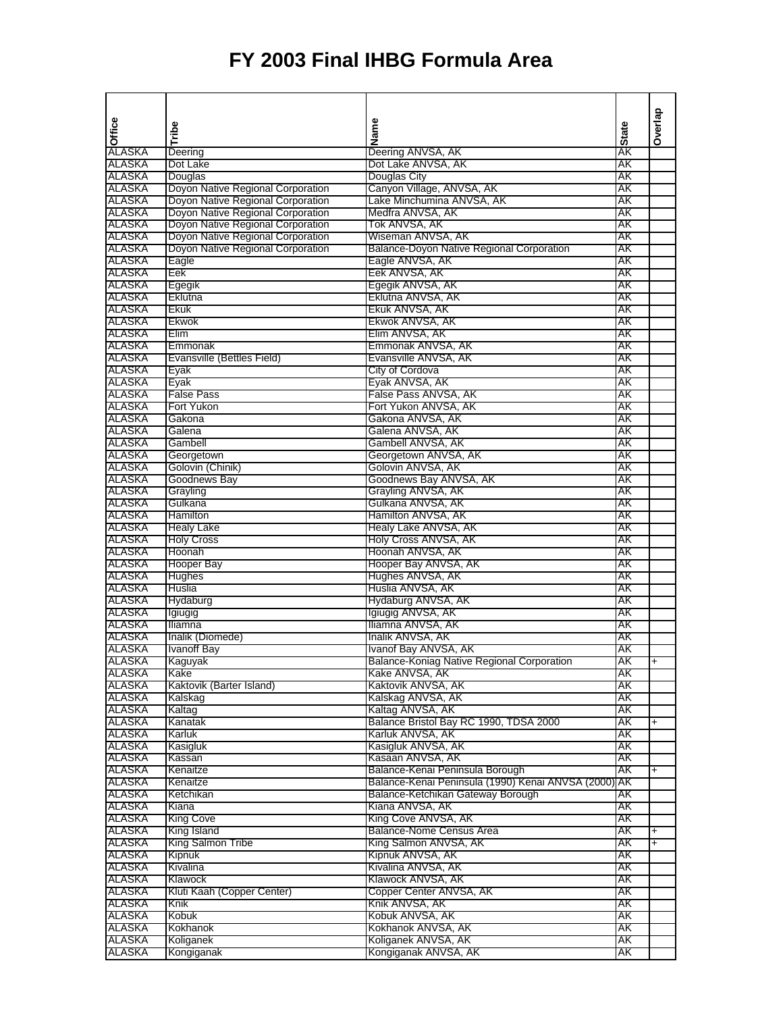|                         |                                        |                                                            |              | Overlap        |
|-------------------------|----------------------------------------|------------------------------------------------------------|--------------|----------------|
| Office                  | Tribe                                  | Name                                                       | <b>State</b> |                |
|                         |                                        |                                                            |              |                |
| ALASKA<br>ALASKA        | Deering<br>Dot Lake                    | Deering ANVSA, AK<br>Dot Lake ANVSA, AK                    | AΚ<br>AΚ     |                |
| ALASKA                  | Douglas                                | Douglas City                                               | AΚ           |                |
| ALASKA                  | Doyon Native Regional Corporation      | Canyon Village, ANVSA, AK                                  | AΚ           |                |
| ALASKA                  | Doyon Native Regional Corporation      | Lake Minchumina ANVSA, AK                                  | AΚ           |                |
| ALASKA                  | Doyon Native Regional Corporation      | Medfra ANVSA, AK                                           | AΚ           |                |
| ALASKA                  | Doyon Native Regional Corporation      | Tok ANVSA, AK                                              | AΚ           |                |
| ALASKA                  | Doyon Native Regional Corporation      | Wiseman ANVSA, AK                                          | AΚ           |                |
| ALASKA                  | Doyon Native Regional Corporation      | <b>Balance-Doyon Native Regional Corporation</b>           | AΚ           |                |
| ALASKA                  | Eagle                                  | Eagle ANVSA, AK                                            | AK           |                |
| ALASKA                  | Eek                                    | Eek ANVSA, AK                                              | AK           |                |
| ALASKA                  | Egegik                                 | Egegik ANVSA, AK                                           | AΚ           |                |
| ALASKA                  | Eklutna                                | Eklutna ANVSA, AK                                          | AΚ           |                |
| ALASKA                  | Ekuk                                   | Ekuk ANVSA, AK                                             | AΚ           |                |
| ALASKA<br><b>ALASKA</b> | Ekwok<br>Elim                          | Ekwok ANVSA, AK<br>Elim ANVSA, AK                          | AΚ<br>AΚ     |                |
| ALASKA                  | Emmonak                                | Emmonak ANVSA, AK                                          | AΚ           |                |
| ALASKA                  | Evansville (Bettles Field)             | Evansville ANVSA, AK                                       | AΚ           |                |
| ALASKA                  | Eyak                                   | City of Cordova                                            | AΚ           |                |
| ALASKA                  | Eyak                                   | Eyak ANVSA, AK                                             | AK           |                |
| ALASKA                  | <b>False Pass</b>                      | False Pass ANVSA, AK                                       | AΚ           |                |
| ALASKA                  | Fort Yukon                             | Fort Yukon ANVSA, AK                                       | AΚ           |                |
| ALASKA                  | Gakona                                 | Gakona ANVSA, AK                                           | AΚ           |                |
| ALASKA                  | Galena                                 | Galena ANVSA, AK                                           | AΚ           |                |
| ALASKA                  | Gambell                                | Gambell ANVSA, AK                                          | AΚ           |                |
| ALASKA                  | Georgetown                             | Georgetown ANVSA, AK                                       | AΚ           |                |
| ALASKA                  | Golovin (Chinik)                       | Golovin ANVSA, AK                                          | AΚ           |                |
| <b>ALASKA</b>           | Goodnews Bay                           | Goodnews Bay ANVSA, AK                                     | AΚ           |                |
| ALASKA                  | Grayling                               | Grayling ANVSA, AK                                         | AK           |                |
| ALASKA                  | Gulkana                                | Gulkana ANVSA, AK                                          | AΚ           |                |
| ALASKA                  | Hamilton                               | Hamilton ANVSA, AK                                         | AΚ           |                |
| ALASKA<br>ALASKA        | <b>Healy Lake</b><br><b>Holy Cross</b> | Healy Lake ANVSA, AK<br>Holy Cross ANVSA, AK               | AΚ<br>AΚ     |                |
| ALASKA                  | Hoonah                                 | Hoonah ANVSA, AK                                           | AΚ           |                |
| ALASKA                  | Hooper Bay                             | Hooper Bay ANVSA, AK                                       | AΚ           |                |
| ALASKA                  | Hughes                                 | Hughes ANVSA, AK                                           | AΚ           |                |
| ALASKA                  | Huslia                                 | Huslia ANVSA, AK                                           | AΚ           |                |
| ALASKA                  | Hydaburg                               | Hydaburg ANVSA, AK                                         | AΚ           |                |
| ALASKA                  | Igiugig                                | Igiugig ANVSA, AK                                          | AK           |                |
| ALASKA                  | Iliamna                                | Iliamna ANVSA, AK                                          | AΚ           |                |
| ALASKA                  | Inalik (Diomede)                       | Inalik ANVSA, AK                                           | AΚ           |                |
| ALASKA                  | <b>Ivanoff Bay</b>                     | Ivanof Bay ANVSA, AK                                       | AΚ           |                |
| ALASKA                  | Kaguvak                                | <b>Balance-Koniag Native Regional Corporation</b>          | AΚ           | $\overline{+}$ |
| ALASKA                  | Kake                                   | Kake ANVSA, AK                                             | AΚ           |                |
| ALASKA                  | Kaktovik (Barter Island)               | Kaktovik ANVSA, AK                                         | AΚ           |                |
| ALASKA                  | Kalskag                                | Kalskag ANVSA, AK                                          | AΚ           |                |
| ALASKA<br>ALASKA        | Kaltag<br>Kanatak                      | Kaltag ANVSA, AK<br>Balance Bristol Bay RC 1990, TDSA 2000 | AΚ<br>AΚ     | +              |
| ALASKA                  | Karluk                                 | Karluk ANVSA, AK                                           | AΚ           |                |
| ALASKA                  | Kasigluk                               | Kasigluk ANVSA, AK                                         | AK           |                |
| ALASKA                  | Kassan                                 | Kasaan ANVSA, AK                                           | AΚ           |                |
| ALASKA                  | Kenaitze                               | Balance-Kenai Peninsula Borough                            | AK           | $\ddot{}$      |
| ALASKA                  | Kenaitze                               | Balance-Kenai Peninsula (1990) Kenai ANVSA (2000) AK       |              |                |
| ALASKA                  | Ketchikan                              | Balance-Ketchikan Gateway Borough                          | AΚ           |                |
| ALASKA                  | Kiana                                  | Kiana ANVSA, AK                                            | AΚ           |                |
| ALASKA                  | <b>King Cove</b>                       | King Cove ANVSA, AK                                        | AΚ           |                |
| ALASKA                  | King Island                            | Balance-Nome Census Area                                   | AΚ           | $\ddot{}$      |
| ALASKA                  | King Salmon Tribe                      | King Salmon ANVSA, AK                                      | AΚ           | $\ddot{}$      |
| ALASKA                  | Kipnuk                                 | Kipnuk ANVSA, AK                                           | AK           |                |
| ALASKA                  | Kivalina                               | Kivalina ANVSA, AK                                         | AΚ           |                |
| ALASKA<br>ALASKA        | Klawock<br>Kluti Kaah (Copper Center)  | Klawock ANVSA, AK<br>Copper Center ANVSA, AK               | AΚ<br>AΚ     |                |
| ALASKA                  | Knik                                   | Knik ANVSA, AK                                             | AΚ           |                |
| ALASKA                  | Kobuk                                  | Kobuk ANVSA, AK                                            | AΚ           |                |
| ALASKA                  | Kokhanok                               | Kokhanok ANVSA, AK                                         | AΚ           |                |
| ALASKA                  | Koliganek                              | Koliganek ANVSA, AK                                        | AK           |                |
| <b>ALASKA</b>           | Kongiganak                             | Kongiganak ANVSA, AK                                       | AΚ           |                |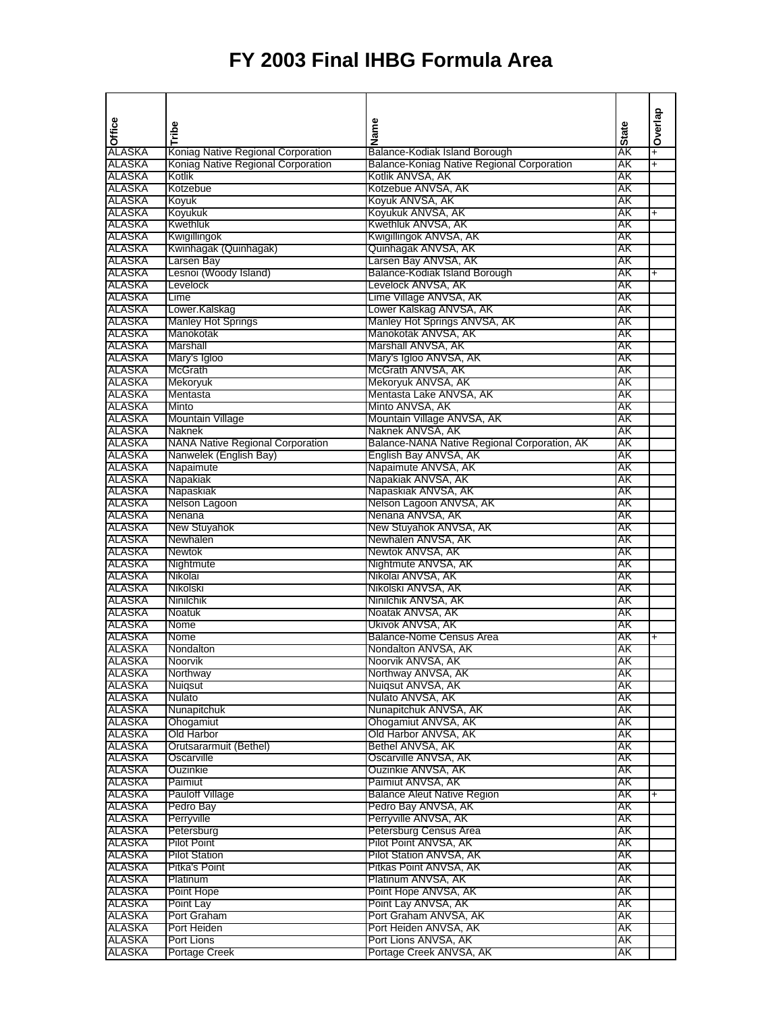|                  |                                         |                                                       |              | Overlap        |
|------------------|-----------------------------------------|-------------------------------------------------------|--------------|----------------|
| Office           | Tribe                                   | Name                                                  | <b>State</b> |                |
|                  |                                         |                                                       |              |                |
| ALASKA           | Koniag Native Regional Corporation      | Balance-Kodiak Island Borough                         | ÁK           | $\overline{+}$ |
| ALASKA           | Koniag Native Regional Corporation      | Balance-Koniag Native Regional Corporation            | AΚ           | $\overline{+}$ |
| ALASKA           | Kotlik                                  | Kotlik ANVSA, AK                                      | ΑK           |                |
| ALASKA           | Kotzebue                                | Kotzebue ANVSA, AK                                    | ΑK           |                |
| ALASKA           | Koyuk                                   | Koyuk ANVSA, AK                                       | ΑK           |                |
| ALASKA           | Koyukuk                                 | Koyukuk ANVSA, AK                                     | ΑK           | $\ddot{}$      |
| ALASKA           | <b>Kwethluk</b>                         | Kwethluk ANVSA, AK                                    | ΑK           |                |
| ALASKA           | Kwigillingok                            | Kwigillingok ANVSA, AK                                | AΚ<br>AΚ     |                |
| ALASKA           | Kwinhagak (Quinhagak)                   | Quinhagak ANVSA, AK                                   |              |                |
| ALASKA<br>ALASKA | Larsen Bay<br>Lesnoi (Woody Island)     | Larsen Bay ANVSA, AK<br>Balance-Kodiak Island Borough | ΑK<br>AΚ     |                |
| ALASKA           | Levelock                                | Levelock ANVSA, AK                                    | ΑK           | $\ddot{}$      |
| ALASKA           | Lime                                    | Lime Village ANVSA, AK                                | AΚ           |                |
| ALASKA           | Lower.Kalskag                           | Lower Kalskag ANVSA, AK                               | AΚ           |                |
| ALASKA           | <b>Manley Hot Springs</b>               | Manley Hot Springs ANVSA, AK                          | ΑK           |                |
| ALASKA           | Manokotak                               | Manokotak ANVSA, AK                                   | AΚ           |                |
| <b>ALASKA</b>    | Marshall                                | Marshall ANVSA, AK                                    | ΑK           |                |
| ALASKA           | Mary's Igloo                            | Mary's Igloo ANVSA, AK                                | ΑK           |                |
| ALASKA           | McGrath                                 | McGrath ANVSA, AK                                     | ΑK           |                |
| ALASKA           | Mekoryuk                                | Mekoryuk ANVSA, AK                                    | AΚ           |                |
| ALASKA           | Mentasta                                | Mentasta Lake ANVSA, AK                               | ΑK           |                |
| ALASKA           | Minto                                   | Minto ANVSA, AK                                       | ΑK           |                |
| ALASKA           | Mountain Village                        | Mountain Village ANVSA, AK                            | ΑK           |                |
| ALASKA           | Naknek                                  | Naknek ANVSA, AK                                      | AΚ           |                |
| ALASKA           | <b>NANA Native Regional Corporation</b> | Balance-NANA Native Regional Corporation, AK          | AΚ           |                |
| ALASKA           | Nanwelek (English Bay)                  | English Bay ANVSA, AK                                 | ΑK           |                |
| ALASKA           | Napaimute                               | Napaimute ANVSA, AK                                   | AΚ           |                |
| ALASKA           | Napakiak                                | Napakiak ANVSA, AK                                    | AΚ           |                |
| ALASKA           | Napaskiak                               | Napaskiak ANVSA, AK                                   | ΑK           |                |
| ALASKA           | Nelson Lagoon                           | Nelson Lagoon ANVSA, AK                               | AΚ           |                |
| ALASKA           | Nenana                                  | Nenana ANVSA, AK                                      | ΑK           |                |
| ALASKA           | New Stuyahok                            | New Stuyahok ANVSA, AK                                | ΑK           |                |
| ALASKA           | Newhalen                                | Newhalen ANVSA, AK                                    | AK           |                |
| ALASKA           | <b>Newtok</b>                           | Newtok ANVSA, AK                                      | ΑK           |                |
| ALASKA           | Nightmute                               | Nightmute ANVSA, AK                                   | ΑK           |                |
| ALASKA           | Nikolai                                 | Nikolai ANVSA, AK                                     | AΚ           |                |
| ALASKA           | Nikolski                                | Nikolski ANVSA, AK                                    | ΑK           |                |
| ALASKA           | Ninilchik                               | Ninilchik ANVSA, AK                                   | AΚ           |                |
| ALASKA           | <b>Noatuk</b>                           | Noatak ANVSA, AK                                      | ΑK           |                |
| ALASKA           | Nome                                    | Ukivok ANVSA, AK                                      | ΑK           |                |
| ALASKA           | Nome                                    | <b>Balance-Nome Census Area</b>                       | AΚ           | $\ddag$        |
| ALASKA           | Nondalton                               | Nondalton ANVSA, AK                                   | ΑK           |                |
| ALASKA           | Noorvik                                 | Noorvik ANVSA, AK                                     | ΑK           |                |
| ALASKA           | Northway                                | Northway ANVSA, AK                                    | AK           |                |
| ALASKA           | Nuigsut                                 | Nuigsut ANVSA, AK                                     | AΚ           |                |
| ALASKA<br>ALASKA | Nulato<br>Nunapitchuk                   | Nulato ANVSA, AK<br>Nunapitchuk ANVSA, AK             | AΚ<br>AΚ     |                |
| ALASKA           | Ohogamiut                               | Ohogamiut ANVSA, AK                                   | AΚ           |                |
| ALASKA           | Old Harbor                              | Old Harbor ANVSA, AK                                  | AΚ           |                |
| ALASKA           | Orutsararmuit (Bethel)                  | Bethel ANVSA, AK                                      | AK           |                |
| ALASKA           | Oscarville                              | Oscarville ANVSA, AK                                  | AK           |                |
| ALASKA           | Ouzinkie                                | Ouzinkie ANVSA, AK                                    | АK           |                |
| ALASKA           | Paimiut                                 | Paimiut ANVSA, AK                                     | AΚ           |                |
| ALASKA           | <b>Pauloff Village</b>                  | <b>Balance Aleut Native Region</b>                    | ΑK           | $+$            |
| ALASKA           | Pedro Bay                               | Pedro Bay ANVSA, AK                                   | AΚ           |                |
| ALASKA           | Perryville                              | Perrvville ANVSA, AK                                  | AΚ           |                |
| ALASKA           | Petersburg                              | Petersburg Census Area                                | AΚ           |                |
| ALASKA           | <b>Pilot Point</b>                      | Pilot Point ANVSA, AK                                 | AΚ           |                |
| ALASKA           | <b>Pilot Station</b>                    | Pilot Station ANVSA, AK                               | AK           |                |
| ALASKA           | Pitka's Point                           | Pitkas Point ANVSA, AK                                | AΚ           |                |
| ALASKA           | Platinum                                | Platinum ANVSA, AK                                    | AΚ           |                |
| ALASKA           | Point Hope                              | Point Hope ANVSA, AK                                  | АK           |                |
| ALASKA           | Point Lay                               | Point Lay ANVSA, AK                                   | AΚ           |                |
| ALASKA           | Port Graham                             | Port Graham ANVSA, AK                                 | АK           |                |
| ALASKA           | Port Heiden                             | Port Heiden ANVSA, AK                                 | АK           |                |
| ALASKA           | Port Lions                              | Port Lions ANVSA, AK                                  | AK           |                |
| ALASKA           | Portage Creek                           | Portage Creek ANVSA, AK                               | ΑK           |                |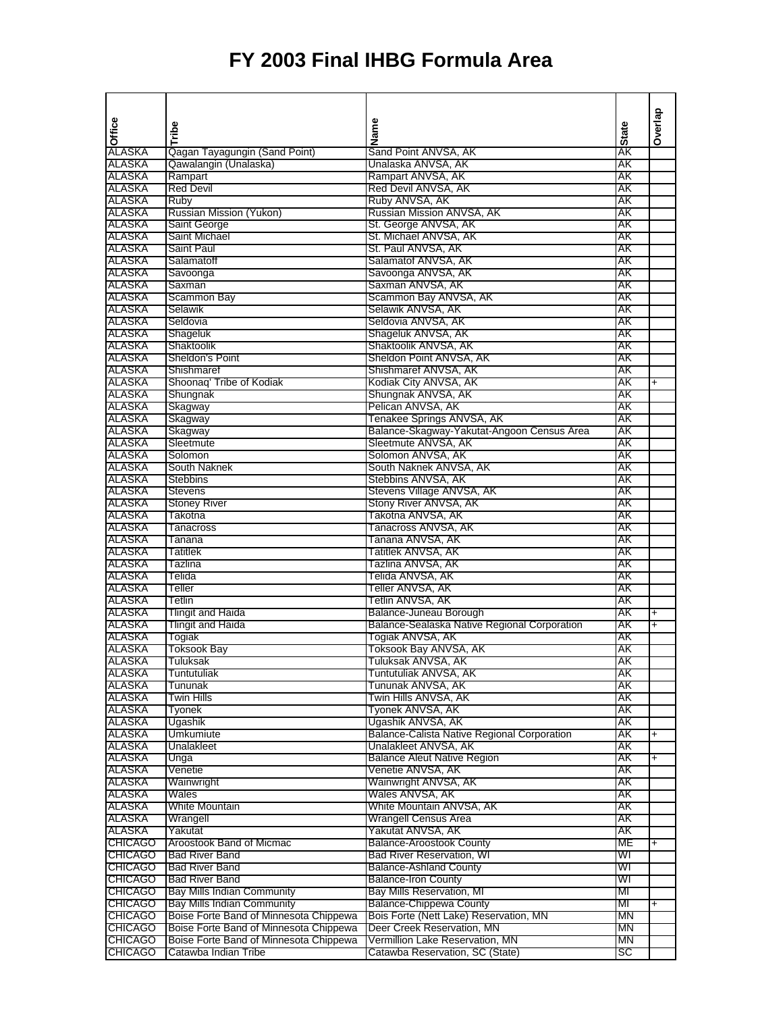| Office           |                                        | Name                                         |              | Overlap   |
|------------------|----------------------------------------|----------------------------------------------|--------------|-----------|
|                  | Tribe                                  |                                              | <b>State</b> |           |
| ALASKA           | Qagan Tayagungin (Sand Point)          | Sand Point ANVSA, AK                         | ΑK           |           |
| ALASKA           | Qawalangin (Unalaska)                  | Unalaska ANVSA, AK                           | AΚ           |           |
| ALASKA           | Rampart                                | Rampart ANVSA, AK                            | AΚ           |           |
| ALASKA           | <b>Red Devil</b>                       | Red Devil ANVSA, AK                          | AΚ           |           |
| ALASKA           | Ruby                                   | Ruby ANVSA, AK                               | AΚ           |           |
| ALASKA           | Russian Mission (Yukon)                | Russian Mission ANVSA, AK                    | AΚ           |           |
| ALASKA           | Saint George                           | St. George ANVSA, AK                         | AΚ           |           |
| ALASKA           | Saint Michael                          | St. Michael ANVSA, AK                        | AΚ           |           |
| ALASKA<br>ALASKA | <b>Saint Paul</b><br>Salamatoff        | St. Paul ANVSA, AK                           | AΚ<br>AΚ     |           |
| ALASKA           |                                        | Salamatof ANVSA, AK<br>Savoonga ANVSA, AK    | AΚ           |           |
| ALASKA           | Savoonga<br>Saxman                     | Saxman ANVSA, AK                             | AΚ           |           |
| ALASKA           | Scammon Bay                            | Scammon Bay ANVSA, AK                        | AΚ           |           |
| ALASKA           | Selawik                                | Selawik ANVSA, AK                            | AΚ           |           |
| ALASKA           | Seldovia                               | Seldovia ANVSA, AK                           | AΚ           |           |
| <b>ALASKA</b>    | Shageluk                               | Shageluk ANVSA, AK                           | AΚ           |           |
| ALASKA           | Shaktoolik                             | Shaktoolik ANVSA, AK                         | AΚ           |           |
| ALASKA           | Sheldon's Point                        | Sheldon Point ANVSA, AK                      | AΚ           |           |
| ALASKA           | Shishmaref                             | Shishmaref ANVSA, AK                         | AK           |           |
| ALASKA           | Shoonag' Tribe of Kodiak               | Kodiak City ANVSA, AK                        | ΑK           | $\ddot{}$ |
| ALASKA           | Shungnak                               | Shungnak ANVSA, AK                           | ΑK           |           |
| ALASKA           | Skagway                                | Pelican ANVSA, AK                            | AK           |           |
| ALASKA           | Skagway                                | Tenakee Springs ANVSA, AK                    | AΚ           |           |
| ALASKA           | Skagway                                | Balance-Skagway-Yakutat-Angoon Census Area   | AΚ           |           |
| ALASKA           | Sleetmute                              | Sleetmute ANVSA, AK                          | AΚ           |           |
| ALASKA           | Solomon                                | Solomon ANVSA, AK                            | ΑK           |           |
| ALASKA           | South Naknek                           | South Naknek ANVSA, AK                       | AΚ           |           |
| ALASKA           | <b>Stebbins</b>                        | Stebbins ANVSA, AK                           | AΚ           |           |
| ALASKA           | <b>Stevens</b>                         | Stevens Village ANVSA, AK                    | ΑK<br>ΑK     |           |
| ALASKA<br>ALASKA | <b>Stoney River</b><br>Takotna         | Stony River ANVSA, AK<br>Takotna ANVSA, AK   | AΚ           |           |
| ALASKA           | Tanacross                              | Tanacross ANVSA, AK                          | AΚ           |           |
| ALASKA           | Tanana                                 | Tanana ANVSA, AK                             | AΚ           |           |
| ALASKA           | <b>Tatitlek</b>                        | Tatitlek ANVSA, AK                           | AΚ           |           |
| ALASKA           | Tazlina                                | Tazlina ANVSA, AK                            | AΚ           |           |
| ALASKA           | Telida                                 | Telida ANVSA, AK                             | ΑK           |           |
| ALASKA           | Teller                                 | Teller ANVSA, AK                             | AΚ           |           |
| ALASKA           | Tetlin                                 | Tetlin ANVSA, AK                             | AΚ           |           |
| ALASKA           | <b>Tlingit and Haida</b>               | Balance-Juneau Borough                       | ΑK           | $\ddot{}$ |
| ALASKA           | <b>Tlingit and Haida</b>               | Balance-Sealaska Native Regional Corporation | AΚ           | $\ddot{}$ |
| ALASKA           | Togiak                                 | Togiak ANVSA, AK                             | AΚ           |           |
| ALASKA           | <b>Toksook Bay</b>                     | Toksook Bay ANVSA, AK                        | AΚ           |           |
| ALASKA           | Tuluksak                               | Tuluksak ANVSA, AK                           | ΑK           |           |
| ALASKA           | Tuntutuliak                            | Tuntutuliak ANVSA, AK                        | AΚ           |           |
| ALASKA           | Tununak                                | Tununak ANVSA, AK                            | AΚ           |           |
| ALASKA           | <b>Twin Hills</b>                      | Twin Hills ANVSA, AK                         | AK           |           |
| ALASKA           | Tyonek                                 | Tyonek ANVSA, AK<br>Ugashik ANVSA, AK        | AK<br>AΚ     |           |
| ALASKA<br>ALASKA | Ugashik<br>Umkumiute                   | Balance-Calista Native Regional Corporation  | AΚ           |           |
| ALASKA           | Unalakleet                             | Unalakleet ANVSA, AK                         | AΚ           | $\ddot{}$ |
| ALASKA           | Unga                                   | <b>Balance Aleut Native Region</b>           | AΚ           | +         |
| ALASKA           | Venetie                                | Venetie ANVSA, AK                            | AΚ           |           |
| ALASKA           | Wainwright                             | Wainwright ANVSA, AK                         | AΚ           |           |
| ALASKA           | Wales                                  | Wales ANVSA, AK                              | AΚ           |           |
| ALASKA           | White Mountain                         | White Mountain ANVSA, AK                     | AΚ           |           |
| ALASKA           | Wrangell                               | Wrangell Census Area                         | AΚ           |           |
| ALASKA           | Yakutat                                | Yakutat ANVSA, AK                            | AΚ           |           |
| <b>CHICAGO</b>   | Aroostook Band of Micmac               | <b>Balance-Aroostook County</b>              | MЕ           | $\ddot{}$ |
| <b>CHICAGO</b>   | <b>Bad River Band</b>                  | <b>Bad River Reservation, WI</b>             | WI           |           |
| <b>CHICAGO</b>   | <b>Bad River Band</b>                  | <b>Balance-Ashland County</b>                | WI           |           |
| <b>CHICAGO</b>   | <b>Bad River Band</b>                  | <b>Balance-Iron County</b>                   | WI           |           |
| <b>CHICAGO</b>   | <b>Bay Mills Indian Community</b>      | Bay Mills Reservation, MI                    | MI           |           |
| <b>CHICAGO</b>   | <b>Bay Mills Indian Community</b>      | <b>Balance-Chippewa County</b>               | MI           | $\ddot{}$ |
| <b>CHICAGO</b>   | Boise Forte Band of Minnesota Chippewa | Bois Forte (Nett Lake) Reservation, MN       | MN           |           |
| <b>CHICAGO</b>   | Boise Forte Band of Minnesota Chippewa | Deer Creek Reservation, MN                   | МN           |           |
| <b>CHICAGO</b>   | Boise Forte Band of Minnesota Chippewa | Vermillion Lake Reservation, MN              | ΜN           |           |
| <b>CHICAGO</b>   | Catawba Indian Tribe                   | Catawba Reservation, SC (State)              | SC           |           |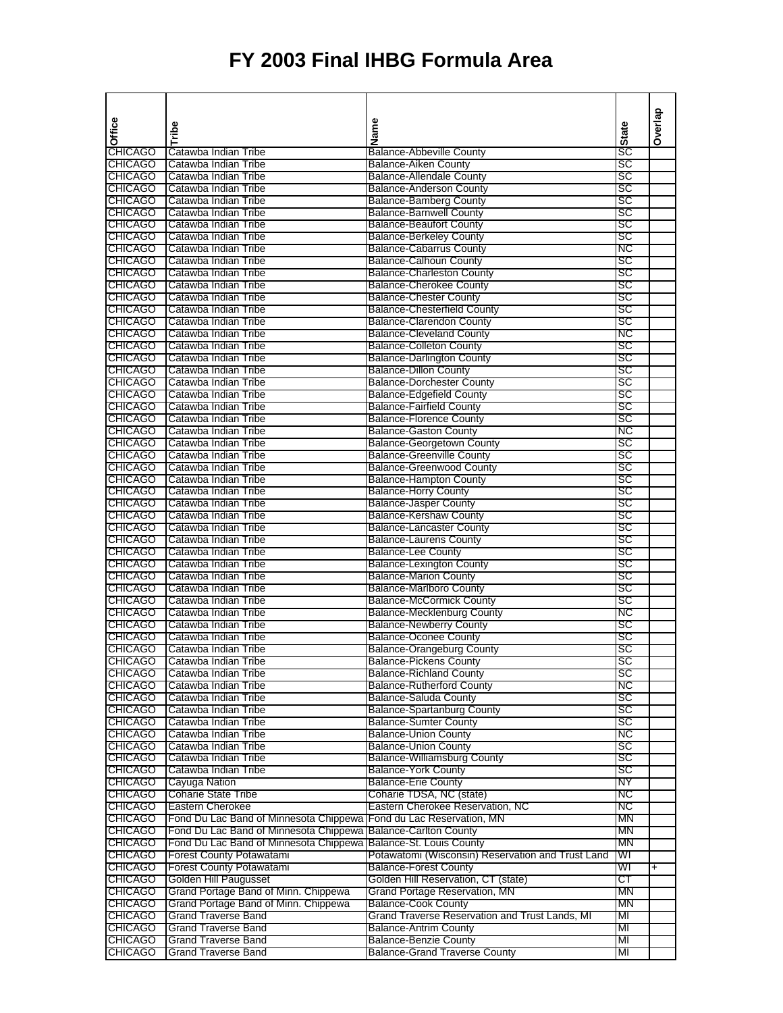|                                  |                                                                    |                                                                              |              | Overlap   |
|----------------------------------|--------------------------------------------------------------------|------------------------------------------------------------------------------|--------------|-----------|
| Office                           | Tribe                                                              | Name                                                                         | <b>State</b> |           |
|                                  |                                                                    |                                                                              |              |           |
| <b>CHICAGO</b>                   | Catawba Indian Tribe                                               | <b>Balance-Abbeville County</b>                                              | SC           |           |
| <b>CHICAGO</b><br><b>CHICAGO</b> | Catawba Indian Tribe<br>Catawba Indian Tribe                       | <b>Balance-Aiken County</b><br><b>Balance-Allendale County</b>               | SC<br>sc     |           |
| <b>CHICAGO</b>                   | Catawba Indian Tribe                                               | <b>Balance-Anderson County</b>                                               | sc           |           |
| <b>CHICAGO</b>                   | Catawba Indian Tribe                                               | <b>Balance-Bamberg County</b>                                                | SC           |           |
| <b>CHICAGO</b>                   | Catawba Indian Tribe                                               | <b>Balance-Barnwell County</b>                                               | SC           |           |
| <b>CHICAGO</b>                   | Catawba Indian Tribe                                               | <b>Balance-Beaufort County</b>                                               | sc           |           |
| <b>CHICAGO</b>                   | Catawba Indian Tribe                                               | <b>Balance-Berkeley County</b>                                               | SC           |           |
| <b>CHICAGO</b>                   | Catawba Indian Tribe                                               | <b>Balance-Cabarrus County</b>                                               | NC           |           |
| <b>CHICAGO</b>                   | Catawba Indian Tribe                                               | <b>Balance-Calhoun County</b>                                                | sc           |           |
| <b>CHICAGO</b>                   | Catawba Indian Tribe                                               | <b>Balance-Charleston County</b>                                             | sc           |           |
| <b>CHICAGO</b>                   | Catawba Indian Tribe                                               | <b>Balance-Cherokee County</b>                                               | <b>SC</b>    |           |
| <b>CHICAGO</b>                   | Catawba Indian Tribe                                               | <b>Balance-Chester County</b>                                                | SC           |           |
| <b>CHICAGO</b><br><b>CHICAGO</b> | Catawba Indian Tribe<br>Catawba Indian Tribe                       | <b>Balance-Chesterfield County</b><br><b>Balance-Clarendon County</b>        | SC<br>SC     |           |
| <b>CHICAGO</b>                   | Catawba Indian Tribe                                               | <b>Balance-Cleveland County</b>                                              | NC           |           |
| <b>CHICAGO</b>                   | Catawba Indian Tribe                                               | <b>Balance-Colleton County</b>                                               | SC           |           |
| <b>CHICAGO</b>                   | Catawba Indian Tribe                                               | <b>Balance-Darlington County</b>                                             | <b>SC</b>    |           |
| <b>CHICAGO</b>                   | Catawba Indian Tribe                                               | <b>Balance-Dillon County</b>                                                 | SC           |           |
| <b>CHICAGO</b>                   | Catawba Indian Tribe                                               | <b>Balance-Dorchester County</b>                                             | SC           |           |
| <b>CHICAGO</b>                   | Catawba Indian Tribe                                               | <b>Balance-Edgefield County</b>                                              | SC           |           |
| <b>CHICAGO</b>                   | Catawba Indian Tribe                                               | <b>Balance-Fairfield County</b>                                              | SC           |           |
| <b>CHICAGO</b>                   | Catawba Indian Tribe                                               | <b>Balance-Florence County</b>                                               | sc           |           |
| <b>CHICAGO</b>                   | Catawba Indian Tribe                                               | <b>Balance-Gaston County</b>                                                 | ΝC           |           |
| <b>CHICAGO</b>                   | Catawba Indian Tribe                                               | <b>Balance-Georgetown County</b>                                             | SC           |           |
| <b>CHICAGO</b><br><b>CHICAGO</b> | Catawba Indian Tribe                                               | <b>Balance-Greenville County</b>                                             | SC<br>SC     |           |
| <b>CHICAGO</b>                   | Catawba Indian Tribe<br>Catawba Indian Tribe                       | <b>Balance-Greenwood County</b><br><b>Balance-Hampton County</b>             | SC           |           |
| <b>CHICAGO</b>                   | Catawba Indian Tribe                                               | <b>Balance-Horry County</b>                                                  | SC           |           |
| <b>CHICAGO</b>                   | Catawba Indian Tribe                                               | <b>Balance-Jasper County</b>                                                 | SC           |           |
| <b>CHICAGO</b>                   | Catawba Indian Tribe                                               | <b>Balance-Kershaw County</b>                                                | SC           |           |
| <b>CHICAGO</b>                   | Catawba Indian Tribe                                               | <b>Balance-Lancaster County</b>                                              | SC           |           |
| <b>CHICAGO</b>                   | Catawba Indian Tribe                                               | <b>Balance-Laurens County</b>                                                | sc           |           |
| <b>CHICAGO</b>                   | Catawba Indian Tribe                                               | <b>Balance-Lee County</b>                                                    | SC           |           |
| <b>CHICAGO</b>                   | Catawba Indian Tribe                                               | <b>Balance-Lexington County</b>                                              | sc           |           |
| <b>CHICAGO</b>                   | Catawba Indian Tribe                                               | <b>Balance-Marion County</b>                                                 | SC           |           |
| <b>CHICAGO</b>                   | Catawba Indian Tribe                                               | <b>Balance-Marlboro County</b>                                               | <b>SC</b>    |           |
| <b>CHICAGO</b><br><b>CHICAGO</b> | Catawba Indian Tribe<br>Catawba Indian Tribe                       | <b>Balance-McCormick County</b>                                              | SC<br>ΝC     |           |
| <b>CHICAGO</b>                   | Catawba Indian Tribe                                               | <b>Balance-Mecklenburg County</b><br><b>Balance-Newberry County</b>          | SC           |           |
| <b>CHICAGO</b>                   | Catawba Indian Tribe                                               | <b>Balance-Oconee County</b>                                                 | SC           |           |
| <b>CHICAGO</b>                   | Catawba Indian Tribe                                               | Balance-Orangeburg County                                                    | SC           |           |
| <b>CHICAGO</b>                   | Catawba Indian Tribe                                               | <b>Balance-Pickens County</b>                                                | sc           |           |
| <b>CHICAGO</b>                   | Catawba Indian Tribe                                               | <b>Balance-Richland County</b>                                               | SC           |           |
| <b>CHICAGO</b>                   | Catawba Indian Tribe                                               | <b>Balance-Rutherford County</b>                                             | NC           |           |
| <b>CHICAGO</b>                   | Catawba Indian Tribe                                               | <b>Balance-Saluda County</b>                                                 | SC           |           |
| <b>CHICAGO</b>                   | Catawba Indian Tribe                                               | <b>Balance-Spartanburg County</b>                                            | sc           |           |
| <b>CHICAGO</b>                   | Catawba Indian Tribe                                               | <b>Balance-Sumter County</b>                                                 | sc           |           |
| <b>CHICAGO</b>                   | Catawba Indian Tribe                                               | <b>Balance-Union County</b>                                                  | NС           |           |
| <b>CHICAGO</b><br><b>CHICAGO</b> | Catawba Indian Tribe<br>Catawba Indian Tribe                       | <b>Balance-Union County</b><br><b>Balance-Williamsburg County</b>            | sc<br>SC     |           |
| <b>CHICAGO</b>                   | Catawba Indian Tribe                                               | <b>Balance-York County</b>                                                   | SC           |           |
| <b>CHICAGO</b>                   | Cayuga Nation                                                      | <b>Balance-Erie County</b>                                                   | NΥ           |           |
| <b>CHICAGO</b>                   | <b>Coharie State Tribe</b>                                         | Coharie TDSA, NC (state)                                                     | NС           |           |
| <b>CHICAGO</b>                   | <b>Eastern Cherokee</b>                                            | Eastern Cherokee Reservation, NC                                             | NC           |           |
| <b>CHICAGO</b>                   | Fond Du Lac Band of Minnesota Chippewa Fond du Lac Reservation, MN |                                                                              | MΝ           |           |
| <b>CHICAGO</b>                   | Fond Du Lac Band of Minnesota Chippewa                             | <b>Balance-Carlton County</b>                                                | ΜN           |           |
| <b>CHICAGO</b>                   | Fond Du Lac Band of Minnesota Chippewa                             | Balance-St. Louis County                                                     | МN           |           |
| <b>CHICAGO</b>                   | Forest County Potawatami                                           | Potawatomi (Wisconsin) Reservation and Trust Land                            | WI           |           |
| <b>CHICAGO</b>                   | <b>Forest County Potawatami</b>                                    | <b>Balance-Forest County</b>                                                 | WI           | $\ddot{}$ |
| <b>CHICAGO</b>                   | Golden Hill Paugusset                                              | Golden Hill Reservation, CT (state)                                          | ст           |           |
| <b>CHICAGO</b>                   | Grand Portage Band of Minn. Chippewa                               | Grand Portage Reservation, MN                                                | ΜN<br>ΜN     |           |
| <b>CHICAGO</b><br><b>CHICAGO</b> | Grand Portage Band of Minn. Chippewa<br><b>Grand Traverse Band</b> | <b>Balance-Cook County</b><br>Grand Traverse Reservation and Trust Lands, MI | MI           |           |
| <b>CHICAGO</b>                   | <b>Grand Traverse Band</b>                                         | <b>Balance-Antrim County</b>                                                 | MI           |           |
| <b>CHICAGO</b>                   | <b>Grand Traverse Band</b>                                         | <b>Balance-Benzie County</b>                                                 | MI           |           |
| <b>CHICAGO</b>                   | <b>Grand Traverse Band</b>                                         | <b>Balance-Grand Traverse County</b>                                         | MI           |           |
|                                  |                                                                    |                                                                              |              |           |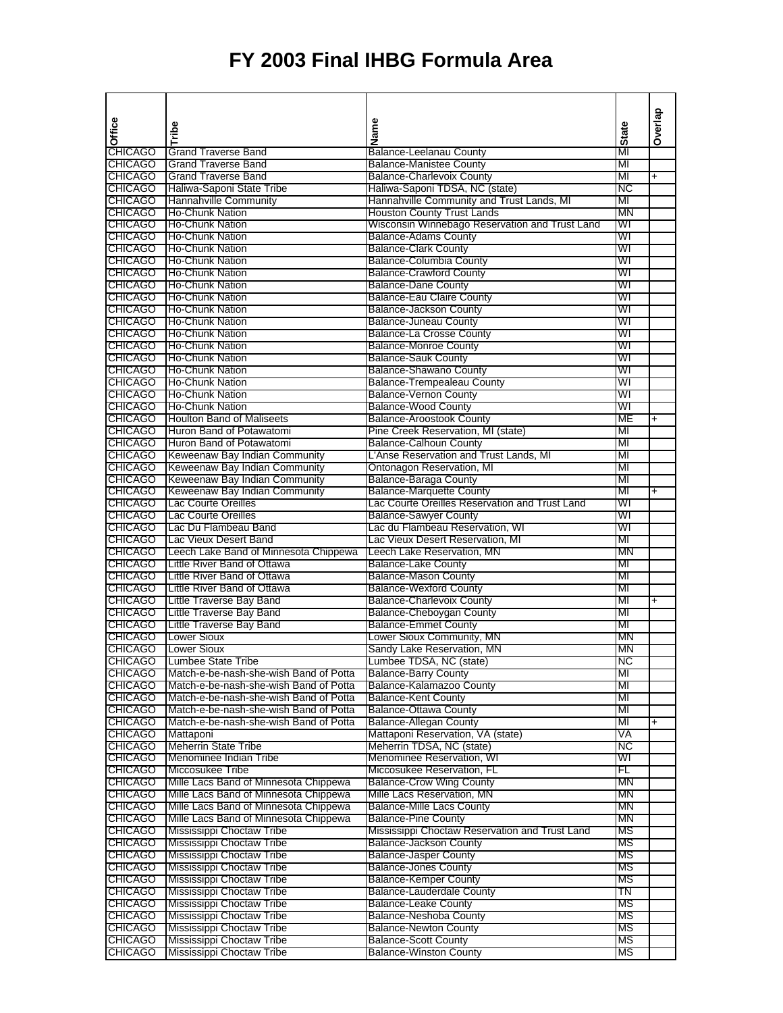|                                  |                                                                |                                                                     |              | Overlap                  |
|----------------------------------|----------------------------------------------------------------|---------------------------------------------------------------------|--------------|--------------------------|
| Office                           | Tribe                                                          | Name                                                                | <b>State</b> |                          |
|                                  |                                                                |                                                                     |              |                          |
| <b>CHICAGO</b>                   | Grand Traverse Band                                            | <b>Balance-Leelanau County</b>                                      | MI           |                          |
| <b>CHICAGO</b><br><b>CHICAGO</b> | <b>Grand Traverse Band</b><br><b>Grand Traverse Band</b>       | <b>Balance-Manistee County</b><br><b>Balance-Charlevoix County</b>  | MI<br>MI     | $\overline{\phantom{0}}$ |
| <b>CHICAGO</b>                   | Haliwa-Saponi State Tribe                                      | Haliwa-Saponi TDSA, NC (state)                                      | NC           |                          |
| <b>CHICAGO</b>                   | Hannahville Community                                          | Hannahville Community and Trust Lands, MI                           | MI           |                          |
| <b>CHICAGO</b>                   | <b>Ho-Chunk Nation</b>                                         | Houston County Trust Lands                                          | ΜN           |                          |
| <b>CHICAGO</b>                   | Ho-Chunk Nation                                                | Wisconsin Winnebago Reservation and Trust Land                      | WI           |                          |
| <b>CHICAGO</b>                   | <b>Ho-Chunk Nation</b>                                         | <b>Balance-Adams County</b>                                         | WI           |                          |
| <b>CHICAGO</b>                   | Ho-Chunk Nation                                                | <b>Balance-Clark County</b>                                         | WI           |                          |
| <b>CHICAGO</b>                   | <b>Ho-Chunk Nation</b>                                         | <b>Balance-Columbia County</b>                                      | WI           |                          |
| <b>CHICAGO</b>                   | Ho-Chunk Nation                                                | <b>Balance-Crawford County</b>                                      | WI           |                          |
| <b>CHICAGO</b>                   | <b>Ho-Chunk Nation</b>                                         | <b>Balance-Dane County</b>                                          | WI           |                          |
| <b>CHICAGO</b><br><b>CHICAGO</b> | <b>Ho-Chunk Nation</b><br>Ho-Chunk Nation                      | Balance-Eau Claire County<br><b>Balance-Jackson County</b>          | WI<br>WI     |                          |
| <b>CHICAGO</b>                   | Ho-Chunk Nation                                                | <b>Balance-Juneau County</b>                                        | WI           |                          |
| <b>CHICAGO</b>                   | <b>Ho-Chunk Nation</b>                                         | <b>Balance-La Crosse County</b>                                     | WI           |                          |
| <b>CHICAGO</b>                   | <b>Ho-Chunk Nation</b>                                         | <b>Balance-Monroe County</b>                                        | WI           |                          |
| <b>CHICAGO</b>                   | <b>Ho-Chunk Nation</b>                                         | <b>Balance-Sauk County</b>                                          | WI           |                          |
| <b>CHICAGO</b>                   | <b>Ho-Chunk Nation</b>                                         | <b>Balance-Shawano County</b>                                       | WI           |                          |
| <b>CHICAGO</b>                   | <b>THo-Chunk Nation</b>                                        | <b>Balance-Trempealeau County</b>                                   | WI           |                          |
| <b>CHICAGO</b>                   | <b>Ho-Chunk Nation</b>                                         | <b>Balance-Vernon County</b>                                        | WI           |                          |
| <b>CHICAGO</b>                   | <b>Ho-Chunk Nation</b>                                         | <b>Balance-Wood County</b>                                          | WI           |                          |
| <b>CHICAGO</b>                   | <b>Houlton Band of Maliseets</b>                               | <b>Balance-Aroostook County</b>                                     | МE           | $\ddot{}$                |
| <b>CHICAGO</b>                   | Huron Band of Potawatomi                                       | Pine Creek Reservation, MI (state)                                  | MI           |                          |
| <b>CHICAGO</b>                   | <b>Huron Band of Potawatomi</b>                                | <b>Balance-Calhoun County</b>                                       | MI<br>MI     |                          |
| <b>CHICAGO</b><br><b>CHICAGO</b> | Keweenaw Bay Indian Community<br>Keweenaw Bay Indian Community | L'Anse Reservation and Trust Lands, MI<br>Ontonagon Reservation, MI | MI           |                          |
| <b>CHICAGO</b>                   | Keweenaw Bay Indian Community                                  | <b>Balance-Baraga County</b>                                        | MI           |                          |
| <b>CHICAGO</b>                   | Keweenaw Bay Indian Community                                  | <b>Balance-Marquette County</b>                                     | МІ           | +                        |
| <b>CHICAGO</b>                   | <b>Lac Courte Oreilles</b>                                     | Lac Courte Oreilles Reservation and Trust Land                      | WI           |                          |
| <b>CHICAGO</b>                   | Lac Courte Oreilles                                            | <b>Balance-Sawyer County</b>                                        | WI           |                          |
| <b>CHICAGO</b>                   | Lac Du Flambeau Band                                           | Lac du Flambeau Reservation, WI                                     | WI           |                          |
| <b>CHICAGO</b>                   | Lac Vieux Desert Band                                          | Lac Vieux Desert Reservation, MI                                    | MI           |                          |
| <b>CHICAGO</b>                   | Leech Lake Band of Minnesota Chippewa                          | Leech Lake Reservation, MN                                          | ΜN           |                          |
| <b>CHICAGO</b>                   | Little River Band of Ottawa                                    | <b>Balance-Lake County</b>                                          | MI           |                          |
| <b>CHICAGO</b>                   | Little River Band of Ottawa                                    | <b>Balance-Mason County</b>                                         | MI           |                          |
| <b>CHICAGO</b><br><b>CHICAGO</b> | Little River Band of Ottawa                                    | <b>Balance-Wexford County</b>                                       | MI<br>MI     |                          |
| <b>CHICAGO</b>                   | Little Traverse Bay Band<br>Little Traverse Bay Band           | <b>Balance-Charlevoix County</b><br>Balance-Cheboygan County        | MI           | $\ddot{}$                |
| <b>CHICAGO</b>                   | Little Traverse Bay Band                                       | <b>Balance-Emmet County</b>                                         | MI           |                          |
| <b>CHICAGO</b>                   | <b>Lower Sioux</b>                                             | Lower Sioux Community, MN                                           | ΜN           |                          |
| <b>CHICAGO</b>                   | <b>Lower Sioux</b>                                             | Sandy Lake Reservation, MN                                          | ΜN           |                          |
| <b>CHICAGO</b>                   | Lumbee State Tribe                                             | Lumbee TDSA, NC (state)                                             | ΝC           |                          |
| <b>CHICAGO</b>                   | Match-e-be-nash-she-wish Band of Potta                         | <b>Balance-Barry County</b>                                         | MI           |                          |
| <b>CHICAGO</b>                   | Match-e-be-nash-she-wish Band of Potta                         | Balance-Kalamazoo County                                            | МІ           |                          |
| <b>CHICAGO</b>                   | Match-e-be-nash-she-wish Band of Potta                         | <b>Balance-Kent County</b>                                          | MI           |                          |
| <b>CHICAGO</b>                   | Match-e-be-nash-she-wish Band of Potta                         | <b>Balance-Ottawa County</b>                                        | MI           |                          |
| <b>CHICAGO</b>                   | Match-e-be-nash-she-wish Band of Potta                         | <b>Balance-Allegan County</b><br>Mattaponi Reservation, VA (state)  | MI           | $\ddot{}$                |
| <b>CHICAGO</b><br><b>CHICAGO</b> | Mattaponi<br><b>Meherrin State Tribe</b>                       | Meherrin TDSA, NC (state)                                           | VA<br>NC     |                          |
| <b>CHICAGO</b>                   | Menominee Indian Tribe                                         | Menominee Reservation, WI                                           | WI           |                          |
| <b>CHICAGO</b>                   | Miccosukee Tribe                                               | Miccosukee Reservation, FL                                          | FL           |                          |
| <b>CHICAGO</b>                   | Mille Lacs Band of Minnesota Chippewa                          | <b>Balance-Crow Wing County</b>                                     | ΜN           |                          |
| <b>CHICAGO</b>                   | Mille Lacs Band of Minnesota Chippewa                          | Mille Lacs Reservation, MN                                          | ΜN           |                          |
| <b>CHICAGO</b>                   | Mille Lacs Band of Minnesota Chippewa                          | <b>Balance-Mille Lacs County</b>                                    | ΜN           |                          |
| <b>CHICAGO</b>                   | Mille Lacs Band of Minnesota Chippewa                          | <b>Balance-Pine County</b>                                          | MΝ           |                          |
| <b>CHICAGO</b>                   | Mississippi Choctaw Tribe                                      | Mississippi Choctaw Reservation and Trust Land                      | МS           |                          |
| <b>CHICAGO</b>                   | Mississippi Choctaw Tribe                                      | <b>Balance-Jackson County</b>                                       | МS           |                          |
| <b>CHICAGO</b>                   | Mississippi Choctaw Tribe                                      | <b>Balance-Jasper County</b>                                        | MS           |                          |
| <b>CHICAGO</b>                   | Mississippi Choctaw Tribe                                      | <b>Balance-Jones County</b>                                         | МS           |                          |
| <b>CHICAGO</b><br><b>CHICAGO</b> | <b>Mississippi Choctaw Tribe</b><br>Mississippi Choctaw Tribe  | <b>Balance-Kemper County</b><br><b>Balance-Lauderdale County</b>    | МS<br>TN     |                          |
| <b>CHICAGO</b>                   | Mississippi Choctaw Tribe                                      | <b>Balance-Leake County</b>                                         | МS           |                          |
| <b>CHICAGO</b>                   | Mississippi Choctaw Tribe                                      | <b>Balance-Neshoba County</b>                                       | МS           |                          |
| <b>CHICAGO</b>                   | Mississippi Choctaw Tribe                                      | <b>Balance-Newton County</b>                                        | МS           |                          |
| <b>CHICAGO</b>                   | Mississippi Choctaw Tribe                                      | <b>Balance-Scott County</b>                                         | МS           |                          |
| <b>CHICAGO</b>                   | Mississippi Choctaw Tribe                                      | <b>Balance-Winston County</b>                                       | ΜS           |                          |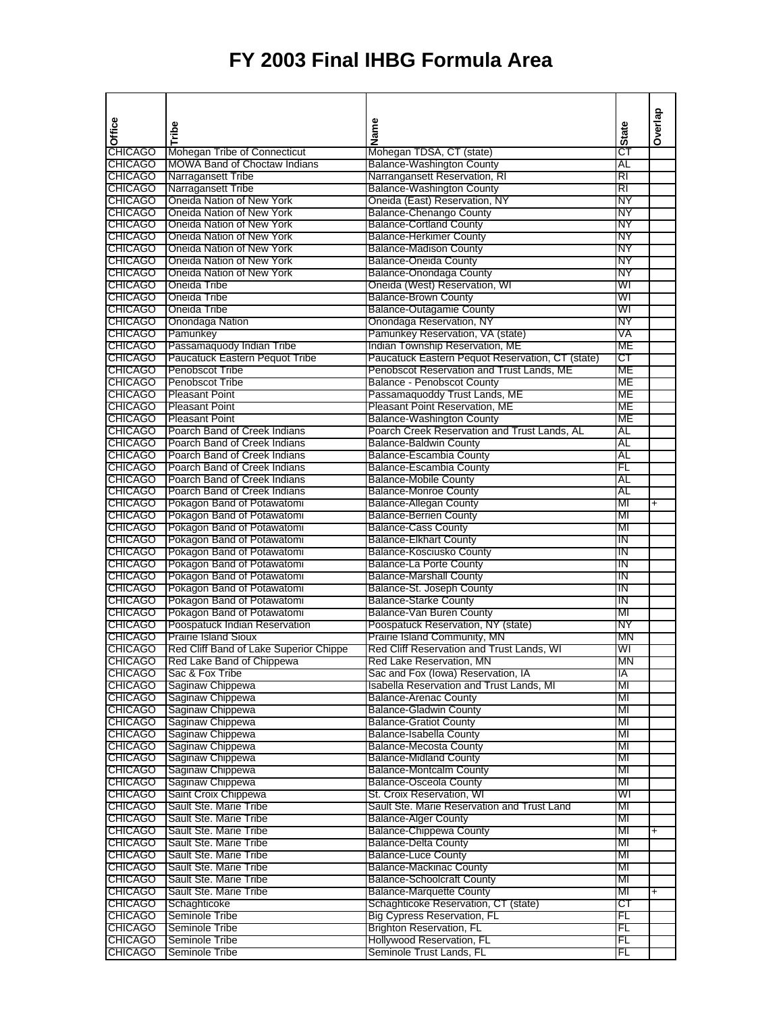|                                  |                                                              |                                                                      |              | Overlap   |
|----------------------------------|--------------------------------------------------------------|----------------------------------------------------------------------|--------------|-----------|
| Office                           | Tribe                                                        | Name                                                                 | <b>State</b> |           |
|                                  |                                                              |                                                                      |              |           |
| <b>CHICAGO</b>                   | Mohegan Tribe of Connecticut                                 | Mohegan TDSA, CT (state)                                             | СT           |           |
| <b>CHICAGO</b>                   | <b>MOWA Band of Choctaw Indians</b><br>Narragansett Tribe    | <b>Balance-Washington County</b>                                     | AL           |           |
| <b>CHICAGO</b><br><b>CHICAGO</b> | Narragansett Tribe                                           | Narrangansett Reservation, RI<br><b>Balance-Washington County</b>    | RI<br>RI     |           |
| <b>CHICAGO</b>                   | Oneida Nation of New York                                    | Oneida (East) Reservation, NY                                        | NΥ           |           |
| <b>CHICAGO</b>                   | Oneida Nation of New York                                    | <b>Balance-Chenango County</b>                                       | NΥ           |           |
| <b>CHICAGO</b>                   | Oneida Nation of New York                                    | <b>Balance-Cortland County</b>                                       | NΥ           |           |
| <b>CHICAGO</b>                   | Oneida Nation of New York                                    | <b>Balance-Herkimer County</b>                                       | NΥ           |           |
| <b>CHICAGO</b>                   | Oneida Nation of New York                                    | <b>Balance-Madison County</b>                                        | NΥ           |           |
| <b>CHICAGO</b>                   | Oneida Nation of New York                                    | <b>Balance-Oneida County</b>                                         | NΥ           |           |
| <b>CHICAGO</b>                   | Oneida Nation of New York                                    | Balance-Onondaga County                                              | NΥ           |           |
| <b>CHICAGO</b>                   | Oneida Tribe                                                 | Oneida (West) Reservation, WI                                        | WI           |           |
| <b>CHICAGO</b><br><b>CHICAGO</b> | Oneida Tribe                                                 | <b>Balance-Brown County</b>                                          | WI<br>WI     |           |
| <b>CHICAGO</b>                   | Oneida Tribe<br><b>Onondaga Nation</b>                       | <b>Balance-Outagamie County</b><br>Onondaga Reservation, NY          | NΥ           |           |
| <b>CHICAGO</b>                   | Pamunkey                                                     | Pamunkey Reservation, VA (state)                                     | VA           |           |
| <b>CHICAGO</b>                   | Passamaquody Indian Tribe                                    | Indian Township Reservation, ME                                      | МE           |           |
| <b>CHICAGO</b>                   | Paucatuck Eastern Pequot Tribe                               | Paucatuck Eastern Pequot Reservation, CT (state)                     | ст           |           |
| <b>CHICAGO</b>                   | <b>Penobscot Tribe</b>                                       | Penobscot Reservation and Trust Lands, ME                            | МE           |           |
| <b>CHICAGO</b>                   | <b>Penobscot Tribe</b>                                       | <b>Balance - Penobscot County</b>                                    | МE           |           |
| <b>CHICAGO</b>                   | <b>Pleasant Point</b>                                        | Passamaquoddy Trust Lands, ME                                        | ME           |           |
| <b>CHICAGO</b>                   | <b>Pleasant Point</b>                                        | Pleasant Point Reservation, ME                                       | МE           |           |
| <b>CHICAGO</b>                   | <b>Pleasant Point</b>                                        | <b>Balance-Washington County</b>                                     | МE           |           |
| <b>CHICAGO</b>                   | Poarch Band of Creek Indians                                 | Poarch Creek Reservation and Trust Lands, AL                         | AL           |           |
| <b>CHICAGO</b>                   | Poarch Band of Creek Indians                                 | <b>Balance-Baldwin County</b>                                        | AL           |           |
| <b>CHICAGO</b>                   | Poarch Band of Creek Indians                                 | <b>Balance-Escambia County</b>                                       | AL           |           |
| <b>CHICAGO</b><br><b>CHICAGO</b> | Poarch Band of Creek Indians<br>Poarch Band of Creek Indians | <b>Balance-Escambia County</b><br><b>Balance-Mobile County</b>       | FL<br>AL     |           |
| <b>CHICAGO</b>                   | Poarch Band of Creek Indians                                 | <b>Balance-Monroe County</b>                                         | AL           |           |
| <b>CHICAGO</b>                   | Pokagon Band of Potawatomi                                   | <b>Balance-Allegan County</b>                                        | МІ           | $\ddot{}$ |
| <b>CHICAGO</b>                   | Pokagon Band of Potawatomi                                   | <b>Balance-Berrien County</b>                                        | MI           |           |
| <b>CHICAGO</b>                   | Pokagon Band of Potawatomi                                   | <b>Balance-Cass County</b>                                           | MI           |           |
| <b>CHICAGO</b>                   | Pokagon Band of Potawatomi                                   | <b>Balance-Elkhart County</b>                                        | ΊN           |           |
| <b>CHICAGO</b>                   | Pokagon Band of Potawatomi                                   | <b>Balance-Kosciusko County</b>                                      | ΙN           |           |
| <b>CHICAGO</b>                   | Pokagon Band of Potawatomi                                   | <b>Balance-La Porte County</b>                                       | ΙN           |           |
| <b>CHICAGO</b>                   | Pokagon Band of Potawatomi                                   | <b>Balance-Marshall County</b>                                       | ΙN           |           |
| <b>CHICAGO</b>                   | Pokagon Band of Potawatomi                                   | Balance-St. Joseph County                                            | ΤN           |           |
| <b>CHICAGO</b><br><b>CHICAGO</b> | Pokagon Band of Potawatomi<br>Pokagon Band of Potawatomi     | <b>Balance-Starke County</b><br>Balance-Van Buren County             | ΙN<br>MI     |           |
| <b>CHICAGO</b>                   | Poospatuck Indian Reservation                                | Poospatuck Reservation, NY (state)                                   | NΥ           |           |
| <b>CHICAGO</b>                   | <b>Prairie Island Sioux</b>                                  | Prairie Island Community, MN                                         | ΜN           |           |
| <b>CHICAGO</b>                   | Red Cliff Band of Lake Superior Chippe                       | Red Cliff Reservation and Trust Lands, WI                            | WI           |           |
| <b>CHICAGO</b>                   | Red Lake Band of Chippewa                                    | Red Lake Reservation, MN                                             | ΜN           |           |
| <b>CHICAGO</b>                   | Sac & Fox Tribe                                              | Sac and Fox (lowa) Reservation, IA                                   | ΙA           |           |
| <b>CHICAGO</b>                   | Saginaw Chippewa                                             | Isabella Reservation and Trust Lands, MI                             | МГ           |           |
| <b>CHICAGO</b>                   | Saginaw Chippewa                                             | <b>Balance-Arenac County</b>                                         | MI           |           |
| <b>CHICAGO</b>                   | Saginaw Chippewa                                             | <b>Balance-Gladwin County</b>                                        | MI           |           |
| <b>CHICAGO</b>                   | Saginaw Chippewa                                             | <b>Balance-Gratiot County</b>                                        | MI           |           |
| <b>CHICAGO</b>                   | Saginaw Chippewa<br>Saginaw Chippewa                         | Balance-Isabella County                                              | MI           |           |
| <b>CHICAGO</b><br><b>CHICAGO</b> | Saginaw Chippewa                                             | <b>Balance-Mecosta County</b><br><b>Balance-Midland County</b>       | MI<br>MI     |           |
| <b>CHICAGO</b>                   | Saginaw Chippewa                                             | <b>Balance-Montcalm County</b>                                       | MI           |           |
| <b>CHICAGO</b>                   | Saginaw Chippewa                                             | <b>Balance-Osceola County</b>                                        | MI           |           |
| <b>CHICAGO</b>                   | Saint Croix Chippewa                                         | St. Croix Reservation, WI                                            | WI           |           |
| <b>CHICAGO</b>                   | Sault Ste. Marie Tribe                                       | Sault Ste. Marie Reservation and Trust Land                          | MI           |           |
| <b>CHICAGO</b>                   | Sault Ste. Marie Tribe                                       | <b>Balance-Alger County</b>                                          | MI           |           |
| <b>CHICAGO</b>                   | Sault Ste. Marie Tribe                                       | <b>Balance-Chippewa County</b>                                       | MI           | +         |
| <b>CHICAGO</b>                   | Sault Ste. Marie Tribe                                       | <b>Balance-Delta County</b>                                          | MI           |           |
| <b>CHICAGO</b>                   | Sault Ste. Marie Tribe                                       | <b>Balance-Luce County</b>                                           | MI           |           |
| <b>CHICAGO</b>                   | Sault Ste. Marie Tribe                                       | <b>Balance-Mackinac County</b>                                       | MI           |           |
| <b>CHICAGO</b>                   | Sault Ste. Marie Tribe<br>Sault Ste. Marie Tribe             | <b>Balance-Schoolcraft County</b><br><b>Balance-Marquette County</b> | MI<br>MI     |           |
| <b>CHICAGO</b><br><b>CHICAGO</b> | Schaghticoke                                                 | Schaghticoke Reservation, CT (state)                                 | СT           | $\ddot{}$ |
| <b>CHICAGO</b>                   | Seminole Tribe                                               | <b>Big Cypress Reservation, FL</b>                                   | FL           |           |
| <b>CHICAGO</b>                   | Seminole Tribe                                               | <b>Brighton Reservation, FL</b>                                      | FL           |           |
| <b>CHICAGO</b>                   | Seminole Tribe                                               | Hollywood Reservation, FL                                            | FL           |           |
| <b>CHICAGO</b>                   | Seminole Tribe                                               | Seminole Trust Lands, FL                                             | FL           |           |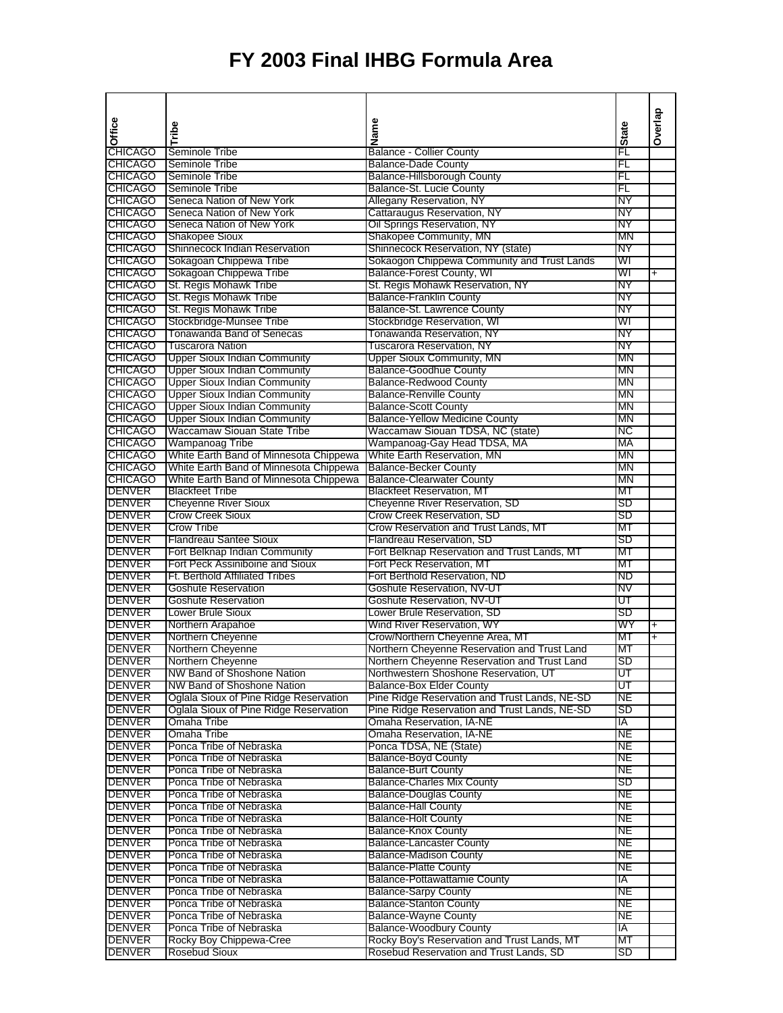| Office                           | Tribe                                                                            | Name                                                             | <b>State</b>    | Overlap   |
|----------------------------------|----------------------------------------------------------------------------------|------------------------------------------------------------------|-----------------|-----------|
|                                  |                                                                                  |                                                                  |                 |           |
| <b>CHICAGO</b>                   | Seminole Tribe                                                                   | <b>Balance - Collier County</b>                                  | FL              |           |
| <b>CHICAGO</b><br><b>CHICAGO</b> | Seminole Tribe<br>Seminole Tribe                                                 | <b>Balance-Dade County</b><br><b>Balance-Hillsborough County</b> | FL<br>FL        |           |
| <b>CHICAGO</b>                   | Seminole Tribe                                                                   | Balance-St. Lucie County                                         | FL              |           |
| <b>CHICAGO</b>                   | Seneca Nation of New York                                                        | Allegany Reservation, NY                                         | NΥ              |           |
| <b>CHICAGO</b>                   | Seneca Nation of New York                                                        | Cattaraugus Reservation, NY                                      | NΥ              |           |
| <b>CHICAGO</b>                   | Seneca Nation of New York                                                        | Oil Springs Reservation, NY                                      | NΥ              |           |
| <b>CHICAGO</b>                   | <b>Shakopee Sioux</b>                                                            | Shakopee Community, MN                                           | ΜN              |           |
| <b>CHICAGO</b>                   | Shinnecock Indian Reservation                                                    | Shinnecock Reservation, NY (state)                               | NΥ              |           |
| <b>CHICAGO</b>                   | Sokagoan Chippewa Tribe                                                          | Sokaogon Chippewa Community and Trust Lands                      | WI              |           |
| <b>CHICAGO</b>                   | Sokagoan Chippewa Tribe                                                          | Balance-Forest County, WI                                        | WI              | $\ddot{}$ |
| <b>CHICAGO</b>                   | St. Regis Mohawk Tribe                                                           | St. Regis Mohawk Reservation, NY                                 | NΥ              |           |
| <b>CHICAGO</b><br><b>CHICAGO</b> | St. Regis Mohawk Tribe<br>St. Regis Mohawk Tribe                                 | <b>Balance-Franklin County</b><br>Balance-St. Lawrence County    | ΝY<br>NΥ        |           |
| <b>CHICAGO</b>                   | Stockbridge-Munsee Tribe                                                         | Stockbridge Reservation, WI                                      | WI              |           |
| <b>CHICAGO</b>                   | Tonawanda Band of Senecas                                                        | Tonawanda Reservation, NY                                        | NΥ              |           |
| <b>CHICAGO</b>                   | <b>Tuscarora Nation</b>                                                          | <b>Tuscarora Reservation, NY</b>                                 | NΥ              |           |
| <b>CHICAGO</b>                   | <b>Upper Sioux Indian Community</b>                                              | <b>Upper Sioux Community, MN</b>                                 | ΜN              |           |
| <b>CHICAGO</b>                   | <b>Upper Sioux Indian Community</b>                                              | <b>Balance-Goodhue County</b>                                    | ΜN              |           |
| <b>CHICAGO</b>                   | <b>Upper Sioux Indian Community</b>                                              | <b>Balance-Redwood County</b>                                    | MN              |           |
| <b>CHICAGO</b>                   | <b>Upper Sioux Indian Community</b>                                              | <b>Balance-Renville County</b>                                   | ΜN              |           |
| <b>CHICAGO</b>                   | <b>Upper Sioux Indian Community</b>                                              | <b>Balance-Scott County</b>                                      | ΜN              |           |
| <b>CHICAGO</b>                   | <b>Upper Sioux Indian Community</b>                                              | <b>Balance-Yellow Medicine County</b>                            | ΜN              |           |
| <b>CHICAGO</b>                   | Waccamaw Siouan State Tribe                                                      | Waccamaw Siouan TDSA, NC (state)                                 | ΝC              |           |
| <b>CHICAGO</b>                   | Wampanoag Tribe                                                                  | Wampanoag-Gay Head TDSA, MA                                      | МA              |           |
| <b>CHICAGO</b><br><b>CHICAGO</b> | White Earth Band of Minnesota Chippewa<br>White Earth Band of Minnesota Chippewa | White Earth Reservation, MN<br><b>Balance-Becker County</b>      | MN<br>ΜN        |           |
| <b>CHICAGO</b>                   | White Earth Band of Minnesota Chippewa                                           | <b>Balance-Clearwater County</b>                                 | ΜN              |           |
| <b>DENVER</b>                    | <b>Blackfeet Tribe</b>                                                           | <b>Blackfeet Reservation, MT</b>                                 | MТ              |           |
| <b>DENVER</b>                    | <b>Cheyenne River Sioux</b>                                                      | Cheyenne River Reservation, SD                                   | SD              |           |
| <b>DENVER</b>                    | <b>Crow Creek Sioux</b>                                                          | Crow Creek Reservation, SD                                       | SD              |           |
| <b>DENVER</b>                    | Crow Tribe                                                                       | Crow Reservation and Trust Lands, MT                             | МT              |           |
| DENVER                           | <b>Flandreau Santee Sioux</b>                                                    | Flandreau Reservation, SD                                        | SD              |           |
| DENVER                           | Fort Belknap Indian Community                                                    | Fort Belknap Reservation and Trust Lands, MT                     | МT              |           |
| <b>DENVER</b>                    | Fort Peck Assiniboine and Sioux                                                  | Fort Peck Reservation, MT                                        | МT              |           |
| DENVER                           | <b>Ft. Berthold Affiliated Tribes</b>                                            | Fort Berthold Reservation, ND                                    | ND              |           |
| <b>DENVER</b>                    | <b>Goshute Reservation</b>                                                       | Goshute Reservation, NV-UT                                       | NV              |           |
| <b>DENVER</b><br><b>DENVER</b>   | <b>Goshute Reservation</b><br>Lower Brule Sioux                                  | Goshute Reservation, NV-UT<br>Lower Brule Reservation, SD        | UT<br>SD        |           |
| <b>DENVER</b>                    | Northern Arapahoe                                                                | Wind River Reservation, WY                                       | WY              | $\ddot{}$ |
| <b>DENVER</b>                    | Northern Cheyenne                                                                | Crow/Northern Cheyenne Area, MT                                  | мт              | Ŧ         |
| <b>DENVER</b>                    | Northern Cheyenne                                                                | Northern Cheyenne Reservation and Trust Land                     | МT              |           |
| <b>DENVER</b>                    | Northern Cheyenne                                                                | Northern Cheyenne Reservation and Trust Land                     | SD              |           |
| <b>DENVER</b>                    | NW Band of Shoshone Nation                                                       | Northwestern Shoshone Reservation, UT                            | UΤ              |           |
| <b>DENVER</b>                    | NW Band of Shoshone Nation                                                       | <b>Balance-Box Elder County</b>                                  | UΤ              |           |
| <b>DENVER</b>                    | Oglala Sioux of Pine Ridge Reservation                                           | Pine Ridge Reservation and Trust Lands, NE-SD                    | NЕ              |           |
| <b>DENVER</b>                    | Oglala Sioux of Pine Ridge Reservation                                           | Pine Ridge Reservation and Trust Lands, NE-SD                    | SD              |           |
| DENVER                           | Omaha Tribe                                                                      | Omaha Reservation, IA-NE                                         | IA              |           |
| <b>DENVER</b>                    | Omaha Tribe                                                                      | Omaha Reservation, IA-NE                                         | NE              |           |
| <b>DENVER</b><br><b>DENVER</b>   | Ponca Tribe of Nebraska<br>Ponca Tribe of Nebraska                               | Ponca TDSA, NE (State)<br><b>Balance-Boyd County</b>             | NE<br><b>NE</b> |           |
| <b>DENVER</b>                    | Ponca Tribe of Nebraska                                                          | <b>Balance-Burt County</b>                                       | <b>NE</b>       |           |
| <b>DENVER</b>                    | Ponca Tribe of Nebraska                                                          | <b>Balance-Charles Mix County</b>                                | SD              |           |
| <b>DENVER</b>                    | Ponca Tribe of Nebraska                                                          | <b>Balance-Douglas County</b>                                    | NЕ              |           |
| <b>DENVER</b>                    | Ponca Tribe of Nebraska                                                          | <b>Balance-Hall County</b>                                       | NE              |           |
| <b>DENVER</b>                    | Ponca Tribe of Nebraska                                                          | <b>Balance-Holt County</b>                                       | NE              |           |
| <b>DENVER</b>                    | Ponca Tribe of Nebraska                                                          | <b>Balance-Knox County</b>                                       | NE              |           |
| <b>DENVER</b>                    | Ponca Tribe of Nebraska                                                          | <b>Balance-Lancaster County</b>                                  | NЕ              |           |
| <b>DENVER</b>                    | Ponca Tribe of Nebraska                                                          | <b>Balance-Madison County</b>                                    | NE              |           |
| <b>DENVER</b>                    | Ponca Tribe of Nebraska                                                          | <b>Balance-Platte County</b>                                     | NE              |           |
| <b>DENVER</b>                    | Ponca Tribe of Nebraska                                                          | <b>Balance-Pottawattamie County</b>                              | IA              |           |
| <b>DENVER</b><br><b>DENVER</b>   | Ponca Tribe of Nebraska<br>Ponca Tribe of Nebraska                               | <b>Balance-Sarpy County</b><br><b>Balance-Stanton County</b>     | NE<br>NE        |           |
| <b>DENVER</b>                    | Ponca Tribe of Nebraska                                                          | <b>Balance-Wayne County</b>                                      | <b>NE</b>       |           |
| <b>DENVER</b>                    | Ponca Tribe of Nebraska                                                          | <b>Balance-Woodbury County</b>                                   | IA.             |           |
| <b>DENVER</b>                    | Rocky Boy Chippewa-Cree                                                          | Rocky Boy's Reservation and Trust Lands, MT                      | МT              |           |
| <b>DENVER</b>                    | Rosebud Sioux                                                                    | Rosebud Reservation and Trust Lands, SD                          | SD              |           |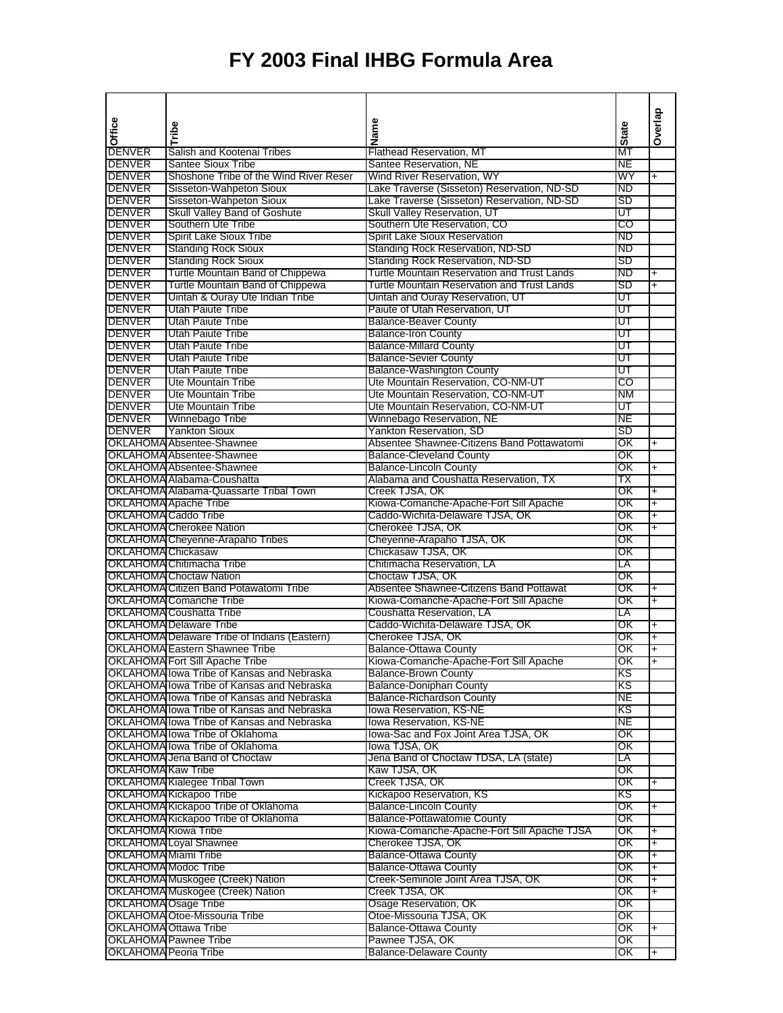|                                                     |                                                     |                                                           |                     | Overlap                       |
|-----------------------------------------------------|-----------------------------------------------------|-----------------------------------------------------------|---------------------|-------------------------------|
| Office                                              | Tribe                                               | Name                                                      |                     |                               |
|                                                     | Salish and Kootenai Tribes                          |                                                           | $\frac{1}{2}$ State |                               |
| <b>DENVER</b><br><b>DENVER</b>                      | <b>Santee Sioux Tribe</b>                           | <b>Flathead Reservation, MT</b><br>Santee Reservation, NE | NE                  |                               |
|                                                     |                                                     |                                                           | WY                  |                               |
| DENVER                                              | Shoshone Tribe of the Wind River Reser              | Wind River Reservation, WY                                | ND                  | $\ddot{}$                     |
| <b>DENVER</b>                                       | Sisseton-Wahpeton Sioux                             | Lake Traverse (Sisseton) Reservation, ND-SD               | SD                  |                               |
| <b>DENVER</b>                                       | Sisseton-Wahpeton Sioux                             | Lake Traverse (Sisseton) Reservation, ND-SD               |                     |                               |
| <b>DENVER</b>                                       | Skull Valley Band of Goshute                        | Skull Valley Reservation, UT                              | UT                  |                               |
| DENVER                                              | Southern Ute Tribe                                  | Southern Ute Reservation, CO                              | CO                  |                               |
| DENVER                                              | Spirit Lake Sioux Tribe                             | Spirit Lake Sioux Reservation                             | ND                  |                               |
| DENVER                                              | <b>Standing Rock Sioux</b>                          | <b>Standing Rock Reservation, ND-SD</b>                   | ND                  |                               |
| <b>DENVER</b>                                       | <b>Standing Rock Sioux</b>                          | Standing Rock Reservation, ND-SD                          | SD                  |                               |
| <b>DENVER</b>                                       | Turtle Mountain Band of Chippewa                    | Turtle Mountain Reservation and Trust Lands               | ND                  | $\ddag$                       |
| <b>DENVER</b>                                       | Turtle Mountain Band of Chippewa                    | <b>Turtle Mountain Reservation and Trust Lands</b>        | SD                  | Ŧ                             |
| <b>DENVER</b>                                       | Uintah & Ouray Ute Indian Tribe                     | Uintah and Ouray Reservation, UT                          | UT                  |                               |
| <b>DENVER</b>                                       | Utah Paiute Tribe                                   | Paiute of Utah Reservation, UT                            | UΤ                  |                               |
| <b>DENVER</b>                                       | Utah Paiute Tribe                                   | <b>Balance-Beaver County</b>                              | UΤ                  |                               |
| <b>DENVER</b>                                       | Utah Paiute Tribe                                   | <b>Balance-Iron County</b>                                | UΤ                  |                               |
| <b>DENVER</b>                                       | Utah Paiute Tribe                                   | <b>Balance-Millard County</b>                             | UT                  |                               |
| <b>DENVER</b>                                       | <b>Utah Paiute Tribe</b>                            | <b>Balance-Sevier County</b>                              | ण                   |                               |
| <b>DENVER</b>                                       | Utah Paiute Tribe                                   | <b>Balance-Washington County</b>                          | ण                   |                               |
| <b>DENVER</b>                                       | Ute Mountain Tribe                                  | Ute Mountain Reservation, CO-NM-UT                        | CO                  |                               |
| <b>DENVER</b>                                       | Ute Mountain Tribe                                  | Ute Mountain Reservation, CO-NM-UT                        | ΝM                  |                               |
| DENVER                                              | <b>Ute Mountain Tribe</b>                           | Ute Mountain Reservation, CO-NM-UT                        | UΤ                  |                               |
| DENVER                                              | Winnebago Tribe                                     | Winnebago Reservation, NE                                 | <b>NE</b>           |                               |
| <b>DENVER</b>                                       | <b>Yankton Sioux</b>                                | Yankton Reservation, SD                                   | SD                  |                               |
|                                                     | <b>OKLAHOMA</b> Absentee-Shawnee                    | Absentee Shawnee-Citizens Band Pottawatomi                | ΟK                  | $\ddot{}$                     |
|                                                     | OKLAHOMA Absentee-Shawnee                           | <b>Balance-Cleveland County</b>                           | OΚ                  |                               |
|                                                     | OKLAHOMA Absentee-Shawnee                           | <b>Balance-Lincoln County</b>                             | OΚ                  | $\ddot{}$                     |
|                                                     | OKLAHOMA Alabama-Coushatta                          | Alabama and Coushatta Reservation, TX                     | ТX                  |                               |
|                                                     | OKLAHOMA Alabama-Quassarte Tribal Town              | Creek TJSA, OK                                            | OΚ                  | $\ddot{}$                     |
|                                                     | <b>OKLAHOMA</b> Apache Tribe                        | Kiowa-Comanche-Apache-Fort Sill Apache                    | OΚ                  | Ŧ                             |
| <b>OKLAHOMA Caddo Tribe</b>                         |                                                     | Caddo-Wichita-Delaware TJSA, OK                           | ОΚ                  | $\overline{+}$                |
|                                                     | <b>OKLAHOMA</b> Cherokee Nation                     | Cherokee TJSA, OK                                         | ОΚ                  | $\overline{+}$                |
|                                                     | OKLAHOMA Cheyenne-Arapaho Tribes                    | Cheyenne-Arapaho TJSA, OK                                 | ОΚ                  |                               |
| <b>OKLAHOMA</b> Chickasaw                           |                                                     | Chickasaw TJSA, OK                                        | ОΚ                  |                               |
|                                                     | <b>OKLAHOMA Chitimacha Tribe</b>                    | Chitimacha Reservation, LA                                | LA                  |                               |
|                                                     | <b>OKLAHOMA Choctaw Nation</b>                      | Choctaw TJSA, OK                                          | OΚ                  |                               |
|                                                     | OKLAHOMA Citizen Band Potawatomi Tribe              | Absentee Shawnee-Citizens Band Pottawat                   | ΟK                  | $\ddot{}$                     |
|                                                     | <b>OKLAHOMA</b> Comanche Tribe                      | Kiowa-Comanche-Apache-Fort Sill Apache                    | ΟK                  | $\ddot{}$                     |
|                                                     | <b>OKLAHOMA</b> Coushatta Tribe                     | Coushatta Reservation, LA                                 | LA                  |                               |
|                                                     | <b>OKLAHOMA Delaware Tribe</b>                      | Caddo-Wichita-Delaware TJSA, OK                           | OΚ                  | $\ddot{}$                     |
|                                                     | <b>OKLAHOMA Delaware Tribe of Indians (Eastern)</b> | Cherokee TJSA, OK                                         | ОΚ                  | $\overline{+}$                |
|                                                     | <b>OKLAHOMA Eastern Shawnee Tribe</b>               | <b>Balance-Ottawa County</b>                              | ОΚ                  | $\ddagger$                    |
|                                                     | <b>OKLAHOMA Fort Sill Apache Tribe</b>              | Kiowa-Comanche-Apache-Fort Sill Apache                    | OK                  | $\overline{+}$                |
|                                                     | OKLAHOMA lowa Tribe of Kansas and Nebraska          | <b>Balance-Brown County</b>                               | ΚS                  |                               |
|                                                     | OKLAHOMA lowa Tribe of Kansas and Nebraska          | <b>Balance-Doniphan County</b>                            | κs                  |                               |
|                                                     | OKLAHOMA lowa Tribe of Kansas and Nebraska          | <b>Balance-Richardson County</b>                          | NE                  |                               |
|                                                     | OKLAHOMA lowa Tribe of Kansas and Nebraska          | <b>Iowa Reservation, KS-NE</b>                            | ΚS                  |                               |
|                                                     | OKLAHOMA lowa Tribe of Kansas and Nebraska          | lowa Reservation, KS-NE                                   | NE                  |                               |
|                                                     | OKLAHOMA lowa Tribe of Oklahoma                     | lowa-Sac and Fox Joint Area TJSA, OK                      | OK                  |                               |
|                                                     | OKLAHOMA lowa Tribe of Oklahoma                     | lowa TJSA, OK                                             | ΟK                  |                               |
|                                                     | OKLAHOMA Jena Band of Choctaw                       | Jena Band of Choctaw TDSA, LA (state)                     | LA                  |                               |
| OKLAHOMA Kaw Tribe                                  |                                                     | Kaw TJSA, OK                                              | ОΚ                  |                               |
|                                                     | OKLAHOMA Kialegee Tribal Town                       | Creek TJSA, OK                                            | ΟK                  | $\ddot{}$                     |
|                                                     | OKLAHOMA Kickapoo Tribe                             | Kickapoo Reservation, KS                                  | ΚS                  |                               |
|                                                     | OKLAHOMA Kickapoo Tribe of Oklahoma                 | <b>Balance-Lincoln County</b>                             | ОΚ                  | +                             |
|                                                     | OKLAHOMA Kickapoo Tribe of Oklahoma                 | Balance-Pottawatomie County                               | OK                  |                               |
| <b>OKLAHOMA Kiowa Tribe</b>                         |                                                     | Kiowa-Comanche-Apache-Fort Sill Apache TJSA               | ΟK                  | $\ddot{}$                     |
|                                                     | <b>OKLAHOMA Loyal Shawnee</b>                       | Cherokee TJSA, OK                                         | ОK                  |                               |
|                                                     |                                                     |                                                           | ОΚ                  | $\ddag$<br>$\ddot{}$          |
| OKLAHOMA Miami Tribe<br><b>OKLAHOMA Modoc Tribe</b> |                                                     | <b>Balance-Ottawa County</b>                              |                     |                               |
|                                                     |                                                     | <b>Balance-Ottawa County</b>                              | OK<br>ΟK            | +                             |
|                                                     | OKLAHOMA Muskogee (Creek) Nation                    | Creek-Seminole Joint Area TJSA, OK                        | ΟK                  | +<br>$\overline{\phantom{0}}$ |
|                                                     | OKLAHOMA Muskogee (Creek) Nation                    | Creek TJSA, OK                                            |                     |                               |
| OKLAHOMA Osage Tribe                                |                                                     | Osage Reservation, OK                                     | OK                  |                               |
|                                                     | OKLAHOMA Otoe-Missouria Tribe                       | Otoe-Missouria TJSA, OK                                   | ОΚ                  |                               |
|                                                     | OKLAHOMA Ottawa Tribe                               | <b>Balance-Ottawa County</b>                              | OK                  | $\ddot{}$                     |
|                                                     | OKLAHOMA Pawnee Tribe                               | Pawnee TJSA, OK                                           | OK                  |                               |
| OKLAHOMA Peoria Tribe                               |                                                     | <b>Balance-Delaware County</b>                            | ОК                  | $+$                           |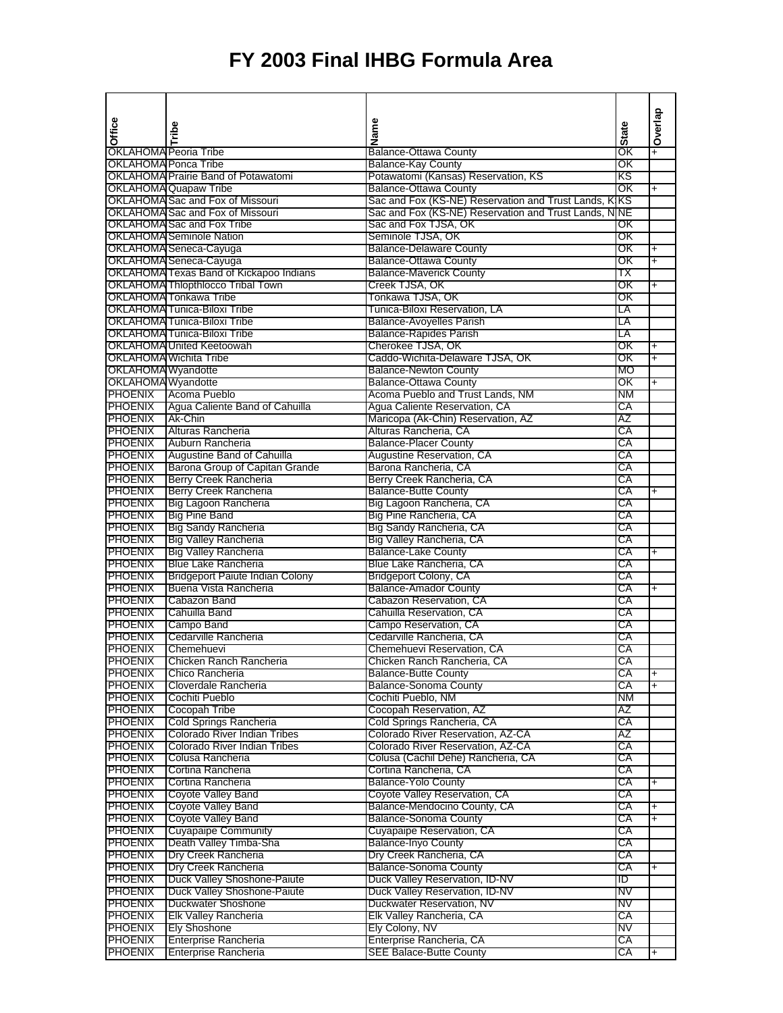| Office                           | Tribe                                                                      | Name                                                                | <b>State</b> | Overlap   |
|----------------------------------|----------------------------------------------------------------------------|---------------------------------------------------------------------|--------------|-----------|
|                                  |                                                                            |                                                                     |              |           |
| <b>OKLAHOMA Peoria Tribe</b>     |                                                                            | <b>Balance-Ottawa County</b>                                        | ΟK           |           |
| OKLAHOMA Ponca Tribe             |                                                                            | <b>Balance-Kay County</b>                                           | OΚ           |           |
|                                  | <b>OKLAHOMA Prairie Band of Potawatomi</b><br><b>OKLAHOMA Quapaw Tribe</b> | Potawatomi (Kansas) Reservation, KS<br><b>Balance-Ottawa County</b> | κs<br>OΚ     | $\ddot{}$ |
|                                  | OKLAHOMA Sac and Fox of Missouri                                           | Sac and Fox (KS-NE) Reservation and Trust Lands, KIKS               |              |           |
|                                  | OKLAHOMA Sac and Fox of Missouri                                           | Sac and Fox (KS-NE) Reservation and Trust Lands, NINE               |              |           |
|                                  | OKLAHOMA Sac and Fox Tribe                                                 | Sac and Fox TJSA, OK                                                | OΚ           |           |
|                                  | <b>OKLAHOMA</b> Seminole Nation                                            | Seminole TJSA, OK                                                   | OΚ           |           |
|                                  | OKLAHOMA Seneca-Cayuga                                                     | <b>Balance-Delaware County</b>                                      | OΚ           | $\ddot{}$ |
|                                  | OKLAHOMA Seneca-Cayuga                                                     | <b>Balance-Ottawa County</b>                                        | ОK           | +         |
|                                  | OKLAHOMA Texas Band of Kickapoo Indians                                    | <b>Balance-Maverick County</b>                                      | ТX           |           |
|                                  | OKLAHOMA Thlopthlocco Tribal Town                                          | Creek TJSA, OK                                                      | OK           | t.        |
|                                  | <b>OKLAHOMA</b> Tonkawa Tribe                                              | Tonkawa TJSA, OK                                                    | ОK           |           |
|                                  | OKLAHOMA Tunica-Biloxi Tribe                                               | Tunica-Biloxi Reservation, LA                                       | LA           |           |
|                                  | OKLAHOMA Tunica-Biloxi Tribe<br>OKLAHOMA Tunica-Biloxi Tribe               | <b>Balance-Avoyelles Parish</b>                                     | LA<br>LΑ     |           |
|                                  | OKLAHOMA United Keetoowah                                                  | <b>Balance-Rapides Parish</b><br>Cherokee TJSA, OK                  | ОΚ           | $\ddot{}$ |
|                                  | <b>OKLAHOMA Wichita Tribe</b>                                              | Caddo-Wichita-Delaware TJSA, OK                                     | ОΚ           | $\ddot{}$ |
| OKLAHOMA Wyandotte               |                                                                            | <b>Balance-Newton County</b>                                        | MO           |           |
| OKLAHOMA Wyandotte               |                                                                            | <b>Balance-Ottawa County</b>                                        | OΚ           | +         |
|                                  | <b>PHOENIX</b> Acoma Pueblo                                                | Acoma Pueblo and Trust Lands, NM                                    | NM           |           |
| PHOENIX                          | Agua Caliente Band of Cahuilla                                             | Agua Caliente Reservation, CA                                       | СA           |           |
| <b>PHOENIX</b>                   | Ak-Chin                                                                    | Maricopa (Ak-Chin) Reservation, AZ                                  | AΖ           |           |
| PHOENIX                          | Alturas Rancheria                                                          | Alturas Rancheria, CA                                               | СA           |           |
| <b>PHOENIX</b>                   | Auburn Rancheria                                                           | <b>Balance-Placer County</b>                                        | СA           |           |
| <b>PHOENIX</b>                   | Augustine Band of Cahuilla                                                 | Augustine Reservation, CA                                           | СA           |           |
| <b>PHOENIX</b>                   | Barona Group of Capitan Grande                                             | Barona Rancheria, CA                                                | СA           |           |
| <b>PHOENIX</b><br><b>PHOENIX</b> | <b>Berry Creek Rancheria</b><br>Berry Creek Rancheria                      | Berry Creek Rancheria, CA<br><b>Balance-Butte County</b>            | СA<br>СA     |           |
| <b>PHOENIX</b>                   | Big Lagoon Rancheria                                                       | Big Lagoon Rancheria, CA                                            | СA           |           |
| <b>PHOENIX</b>                   | <b>Big Pine Band</b>                                                       | Big Pine Rancheria, CA                                              | СA           |           |
| PHOENIX                          | <b>Big Sandy Rancheria</b>                                                 | Big Sandy Rancheria, CA                                             | СA           |           |
| <b>PHOENIX</b>                   | Big Valley Rancheria                                                       | Big Valley Rancheria, CA                                            | СA           |           |
| <b>PHOENIX</b>                   | <b>Big Valley Rancheria</b>                                                | <b>Balance-Lake County</b>                                          | СA           | $\ddot{}$ |
| <b>PHOENIX</b>                   | <b>Blue Lake Rancheria</b>                                                 | Blue Lake Rancheria, CA                                             | СA           |           |
| <b>PHOENIX</b>                   | <b>Bridgeport Paiute Indian Colony</b>                                     | <b>Bridgeport Colony, CA</b>                                        | СA           |           |
| <b>PHOENIX</b>                   | Buena Vista Rancheria                                                      | <b>Balance-Amador County</b>                                        | СA           | ŧ.        |
| <b>PHOENIX</b>                   | Cabazon Band                                                               | Cabazon Reservation, CA                                             | СA           |           |
| <b>PHOENIX</b>                   | Cahuilla Band                                                              | Cahuilla Reservation, CA                                            | СA           |           |
| <b>PHOENIX</b><br><b>PHOENIX</b> | Campo Band<br>Cedarville Rancheria                                         | Campo Reservation, CA<br>Cedarville Rancheria, CA                   | СA<br>СA     |           |
| PHOENIX                          | Chemehuevi                                                                 | Chemehuevi Reservation, CA                                          | СA           |           |
|                                  | <b>PHOENIX</b> Chicken Ranch Rancheria                                     | Chicken Ranch Rancheria, CA                                         | СA           |           |
| <b>PHOENIX</b>                   | Chico Rancheria                                                            | <b>Balance-Butte County</b>                                         | СA           | +         |
| <b>PHOENIX</b>                   | Cloverdale Rancheria                                                       | <b>Balance-Sonoma County</b>                                        | СA           | $+$       |
| PHOENIX                          | Cochiti Pueblo                                                             | Cochiti Pueblo, NM                                                  | NM           |           |
| PHOENIX                          | Cocopah Tribe                                                              | Cocopah Reservation, AZ                                             | AΖ           |           |
| <b>PHOENIX</b>                   | Cold Springs Rancheria                                                     | Cold Springs Rancheria, CA                                          | СA           |           |
| <b>PHOENIX</b>                   | Colorado River Indian Tribes                                               | Colorado River Reservation, AZ-CA                                   | AZ           |           |
| <b>PHOENIX</b>                   | Colorado River Indian Tribes                                               | Colorado River Reservation, AZ-CA                                   | СA           |           |
| <b>PHOENIX</b>                   | Colusa Rancheria                                                           | Colusa (Cachil Dehe) Rancheria, CA                                  | СA           |           |
| <b>PHOENIX</b><br><b>PHOENIX</b> | Cortina Rancheria<br>Cortina Rancheria                                     | Cortina Rancheria, CA<br><b>Balance-Yolo County</b>                 | СA<br>СA     |           |
| <b>PHOENIX</b>                   | Coyote Valley Band                                                         | Coyote Valley Reservation, CA                                       | СA           |           |
| <b>PHOENIX</b>                   | Coyote Valley Band                                                         | Balance-Mendocino County, CA                                        | СA           | ł.        |
| <b>PHOENIX</b>                   | Coyote Valley Band                                                         | <b>Balance-Sonoma County</b>                                        | СA           | $\ddot{}$ |
| <b>PHOENIX</b>                   | <b>Cuyapaipe Community</b>                                                 | Cuyapaipe Reservation, CA                                           | СA           |           |
| <b>PHOENIX</b>                   | Death Valley Timba-Sha                                                     | <b>Balance-Inyo County</b>                                          | СA           |           |
| <b>PHOENIX</b>                   | Dry Creek Rancheria                                                        | Dry Creek Rancheria, CA                                             | СA           |           |
| <b>PHOENIX</b>                   | Dry Creek Rancheria                                                        | <b>Balance-Sonoma County</b>                                        | СA           | +         |
| <b>PHOENIX</b>                   | Duck Valley Shoshone-Paiute                                                | Duck Valley Reservation, ID-NV                                      | סו           |           |
| <b>PHOENIX</b>                   | Duck Valley Shoshone-Paiute                                                | Duck Valley Reservation, ID-NV                                      | NV           |           |
| <b>PHOENIX</b>                   | Duckwater Shoshone                                                         | Duckwater Reservation, NV                                           | NV           |           |
| <b>PHOENIX</b>                   | <b>Elk Valley Rancheria</b>                                                | Elk Valley Rancheria, CA                                            | СA<br>NV     |           |
| <b>PHOENIX</b><br><b>PHOENIX</b> | Ely Shoshone<br>Enterprise Rancheria                                       | Ely Colony, NV<br>Enterprise Rancheria, CA                          | СA           |           |
| <b>PHOENIX</b>                   | Enterprise Rancheria                                                       | <b>SEE Balace-Butte County</b>                                      | СA           | $\ddot{}$ |
|                                  |                                                                            |                                                                     |              |           |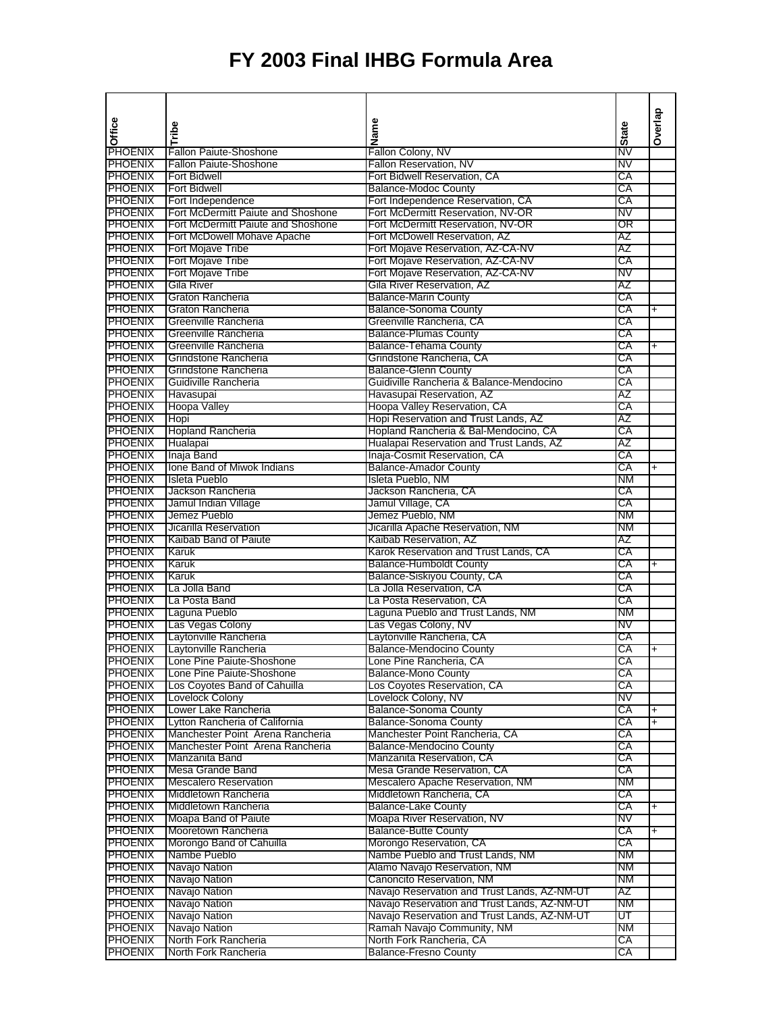| Office                           |                                                        | Name                                                               |              | Overlap   |
|----------------------------------|--------------------------------------------------------|--------------------------------------------------------------------|--------------|-----------|
|                                  | Tribe                                                  |                                                                    | <b>State</b> |           |
| PHOENIX                          | <b>Fallon Paiute-Shoshone</b>                          | Fallon Colony, NV                                                  | NV           |           |
| <b>PHOENIX</b>                   | <b>Fallon Paiute-Shoshone</b>                          | Fallon Reservation, NV                                             | NV           |           |
| <b>PHOENIX</b>                   | <b>Fort Bidwell</b>                                    | Fort Bidwell Reservation, CA                                       | СA           |           |
| <b>PHOENIX</b>                   | <b>Fort Bidwell</b>                                    | <b>Balance-Modoc County</b>                                        | СA           |           |
| <b>PHOENIX</b>                   | Fort Independence                                      | Fort Independence Reservation, CA                                  | СA           |           |
| <b>PHOENIX</b>                   | <b>Fort McDermitt Paiute and Shoshone</b>              | Fort McDermitt Reservation, NV-OR                                  | NV           |           |
| <b>PHOENIX</b>                   | Fort McDermitt Paiute and Shoshone                     | Fort McDermitt Reservation, NV-OR                                  | OR           |           |
| <b>PHOENIX</b><br><b>PHOENIX</b> | Fort McDowell Mohave Apache<br>Fort Mojave Tribe       | Fort McDowell Reservation, AZ<br>Fort Mojave Reservation, AZ-CA-NV | AZ<br>AΖ     |           |
| <b>PHOENIX</b>                   | Fort Mojave Tribe                                      | Fort Mojave Reservation, AZ-CA-NV                                  | СA           |           |
| <b>PHOENIX</b>                   | Fort Mojave Tribe                                      | Fort Mojave Reservation, AZ-CA-NV                                  | NV           |           |
| <b>PHOENIX</b>                   | Gila River                                             | Gila River Reservation, AZ                                         | AZ           |           |
| <b>PHOENIX</b>                   | Graton Rancheria                                       | <b>Balance-Marin County</b>                                        | СA           |           |
| <b>PHOENIX</b>                   | Graton Rancheria                                       | <b>Balance-Sonoma County</b>                                       | СA           | $\ddot{}$ |
| PHOENIX                          | Greenville Rancheria                                   | Greenville Rancheria, CA                                           | СA           |           |
| <b>PHOENIX</b>                   | Greenville Rancheria                                   | <b>Balance-Plumas County</b>                                       | СA           |           |
| <b>PHOENIX</b>                   | Greenville Rancheria                                   | Balance-Tehama County                                              | СA           | $\ddot{}$ |
| <b>PHOENIX</b>                   | Grindstone Rancheria                                   | Grindstone Rancheria, CA                                           | СA           |           |
| <b>PHOENIX</b>                   | Grindstone Rancheria                                   | <b>Balance-Glenn County</b>                                        | СA           |           |
| <b>PHOENIX</b>                   | Guidiville Rancheria                                   | Guidiville Rancheria & Balance-Mendocino                           | СA           |           |
| <b>PHOENIX</b>                   | Havasupai                                              | Havasupai Reservation, AZ                                          | ΑZ           |           |
| <b>PHOENIX</b>                   | <b>Hoopa Valley</b>                                    | Hoopa Valley Reservation, CA                                       | СA           |           |
| <b>PHOENIX</b>                   | Hopi                                                   | Hopi Reservation and Trust Lands, AZ                               | AΖ           |           |
| <b>PHOENIX</b>                   | Hopland Rancheria                                      | Hopland Rancheria & Bal-Mendocino, CA                              | СA           |           |
| <b>PHOENIX</b>                   | Hualapai                                               | Hualapai Reservation and Trust Lands, AZ                           | AZ           |           |
| <b>PHOENIX</b>                   | Inaja Band                                             | Inaja-Cosmit Reservation, CA                                       | СA           |           |
| <b>PHOENIX</b>                   | Ione Band of Miwok Indians                             | <b>Balance-Amador County</b>                                       | СA           | $\ddot{}$ |
| <b>PHOENIX</b>                   | Isleta Pueblo                                          | Isleta Pueblo, NM                                                  | ΝM           |           |
| <b>PHOENIX</b>                   | Jackson Rancheria                                      | Jackson Rancheria, CA                                              | СA           |           |
| <b>PHOENIX</b>                   | Jamul Indian Village                                   | Jamul Village, CA                                                  | СA           |           |
| <b>PHOENIX</b>                   | Jemez Pueblo                                           | Jemez Pueblo, NM                                                   | ΝM           |           |
| <b>PHOENIX</b>                   | Jicarilla Reservation                                  | Jicarilla Apache Reservation, NM                                   | ΝM           |           |
| <b>PHOENIX</b>                   | Kaibab Band of Paiute                                  | Kaibab Reservation, AZ                                             | AZ           |           |
| <b>PHOENIX</b>                   | Karuk                                                  | Karok Reservation and Trust Lands, CA                              | СA           |           |
| <b>PHOENIX</b>                   | Karuk                                                  | <b>Balance-Humboldt County</b>                                     | СA           | $+$       |
| <b>PHOENIX</b>                   | Karuk                                                  | Balance-Siskiyou County, CA                                        | СA           |           |
| <b>PHOENIX</b>                   | La Jolla Band                                          | La Jolla Reservation, CA                                           | СA           |           |
| <b>PHOENIX</b>                   | La Posta Band                                          | La Posta Reservation, CA                                           | СA           |           |
| <b>PHOENIX</b>                   | Laguna Pueblo                                          | Laguna Pueblo and Trust Lands, NM                                  | ΝM           |           |
| <b>PHOENIX</b>                   | Las Vegas Colony                                       | Las Vegas Colony, NV                                               | NV           |           |
| <b>PHOENIX</b>                   | Laytonville Rancheria                                  | Laytonville Rancheria, CA                                          | СA           |           |
| <b>PHOENIX</b>                   | Laytonville Rancheria                                  | <b>Balance-Mendocino County</b>                                    | СA           | $\ddot{}$ |
| <b>PHOENIX</b><br><b>PHOENIX</b> | Lone Pine Paiute-Shoshone<br>Lone Pine Paiute-Shoshone | Lone Pine Rancheria, CA<br><b>Balance-Mono County</b>              | СA<br>СA     |           |
| <b>PHOENIX</b>                   | Los Coyotes Band of Cahuilla                           | Los Coyotes Reservation, CA                                        | СA           |           |
| <b>PHOENIX</b>                   | Lovelock Colony                                        | Lovelock Colony, NV                                                | NV           |           |
| <b>PHOENIX</b>                   | Lower Lake Rancheria                                   | <b>Balance-Sonoma County</b>                                       | СA           | $\ddot{}$ |
| <b>PHOENIX</b>                   | Lytton Rancheria of California                         | <b>Balance-Sonoma County</b>                                       | СA           | $\ddot{}$ |
| <b>PHOENIX</b>                   | Manchester Point Arena Rancheria                       | Manchester Point Rancheria, CA                                     | СA           |           |
| <b>PHOENIX</b>                   | Manchester Point Arena Rancheria                       | <b>Balance-Mendocino County</b>                                    | СA           |           |
| <b>PHOENIX</b>                   | Manzanita Band                                         | Manzanita Reservation, CA                                          | СA           |           |
| <b>PHOENIX</b>                   | Mesa Grande Band                                       | Mesa Grande Reservation, CA                                        | СA           |           |
| <b>PHOENIX</b>                   | <b>Mescalero Reservation</b>                           | Mescalero Apache Reservation, NM                                   | ΝM           |           |
| <b>PHOENIX</b>                   | Middletown Rancheria                                   | Middletown Rancheria, CA                                           | СA           |           |
| <b>PHOENIX</b>                   | Middletown Rancheria                                   | <b>Balance-Lake County</b>                                         | СA           | $\ddot{}$ |
| <b>PHOENIX</b>                   | Moapa Band of Paiute                                   | Moapa River Reservation, NV                                        | NV           |           |
| <b>PHOENIX</b>                   | Mooretown Rancheria                                    | <b>Balance-Butte County</b>                                        | СA           | $\ddag$   |
| <b>PHOENIX</b>                   | Morongo Band of Cahuilla                               | Morongo Reservation, CA                                            | СA           |           |
| <b>PHOENIX</b>                   | Nambe Pueblo                                           | Nambe Pueblo and Trust Lands, NM                                   | ΝM           |           |
| <b>PHOENIX</b>                   | Navajo Nation                                          | Alamo Navajo Reservation, NM                                       | ΝM           |           |
| <b>PHOENIX</b>                   | Navajo Nation                                          | Canoncito Reservation, NM                                          | ΝM           |           |
| <b>PHOENIX</b>                   | Navajo Nation                                          | Navajo Reservation and Trust Lands, AZ-NM-UT                       | AΖ           |           |
| <b>PHOENIX</b>                   | Navajo Nation                                          | Navajo Reservation and Trust Lands, AZ-NM-UT                       | ΝM           |           |
| <b>PHOENIX</b>                   | Navajo Nation                                          | Navajo Reservation and Trust Lands, AZ-NM-UT                       | ᡨ            |           |
| <b>PHOENIX</b>                   | Navajo Nation                                          | Ramah Navajo Community, NM                                         | ΝM           |           |
| PHOENIX                          | North Fork Rancheria                                   | North Fork Rancheria, CA                                           | СA           |           |
| <b>PHOENIX</b>                   | North Fork Rancheria                                   | <b>Balance-Fresno County</b>                                       | CA           |           |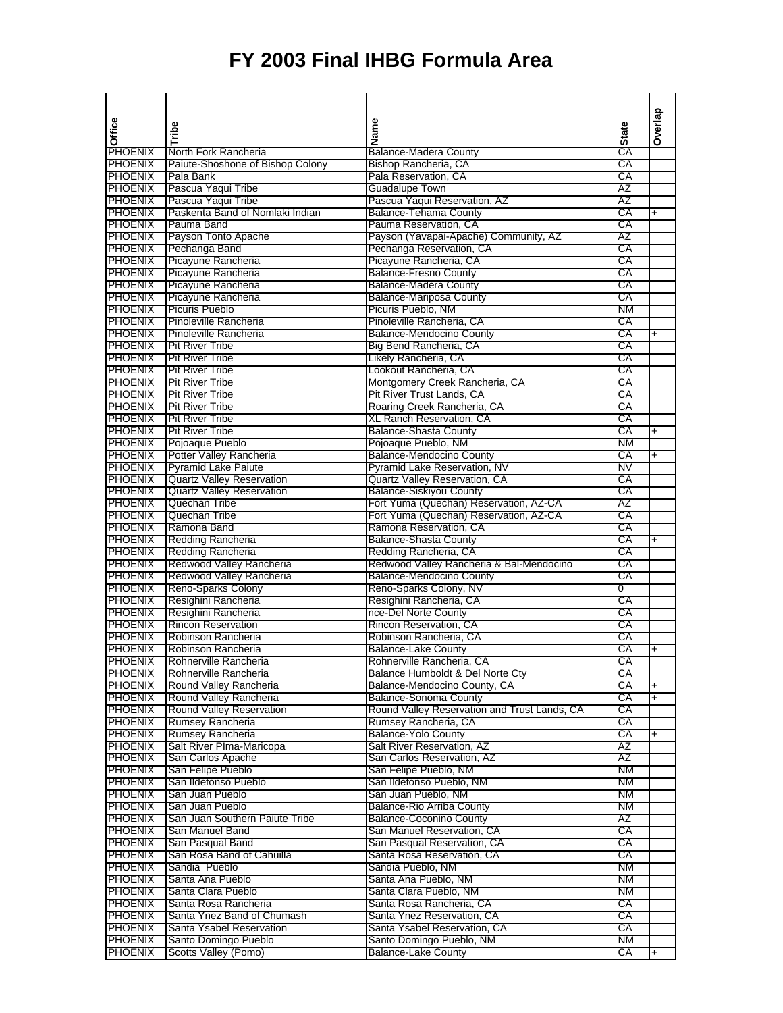| Office                           |                                                  | Name                                                    |              | Overlap   |
|----------------------------------|--------------------------------------------------|---------------------------------------------------------|--------------|-----------|
|                                  | Tribe                                            |                                                         | <b>State</b> |           |
| <b>PHOENIX</b>                   | North Fork Rancheria                             | <b>Balance-Madera County</b>                            | СA           |           |
| <b>PHOENIX</b>                   | Paiute-Shoshone of Bishop Colony                 | Bishop Rancheria, CA                                    | СA           |           |
| <b>PHOENIX</b>                   | Pala Bank                                        | Pala Reservation, CA                                    | СA           |           |
| <b>PHOENIX</b>                   | Pascua Yaqui Tribe                               | <b>Guadalupe Town</b>                                   | AZ           |           |
| PHOENIX                          | Pascua Yaqui Tribe                               | Pascua Yaqui Reservation, AZ                            | AZ           |           |
| PHOENIX                          | Paskenta Band of Nomlaki Indian                  | Balance-Tehama County                                   | СA           | $\ddot{}$ |
| <b>PHOENIX</b>                   | Pauma Band                                       | Pauma Reservation, CA                                   | СA           |           |
| <b>PHOENIX</b>                   | Payson Tonto Apache                              | Payson (Yavapai-Apache) Community, AZ                   | AZ           |           |
| <b>PHOENIX</b>                   | Pechanga Band                                    | Pechanga Reservation, CA                                | СA           |           |
| <b>PHOENIX</b>                   | Picayune Rancheria                               | Picayune Rancheria, CA                                  | СA           |           |
| PHOENIX                          | Picayune Rancheria                               | <b>Balance-Fresno County</b>                            | СA           |           |
| PHOENIX                          | Picayune Rancheria                               | <b>Balance-Madera County</b>                            | СA           |           |
| <b>PHOENIX</b>                   | Picayune Rancheria                               | <b>Balance-Mariposa County</b>                          | СA           |           |
| <b>PHOENIX</b>                   | Picuris Pueblo                                   | Picuris Pueblo, NM                                      | ΝM           |           |
| <b>PHOENIX</b>                   | <b>Pinoleville Rancheria</b>                     | Pinoleville Rancheria, CA                               | СA           |           |
| <b>PHOENIX</b>                   | Pinoleville Rancheria                            | <b>Balance-Mendocino County</b>                         | СA           | $\ddot{}$ |
| <b>PHOENIX</b>                   | <b>Pit River Tribe</b>                           | Big Bend Rancheria, CA                                  | СA           |           |
| <b>PHOENIX</b>                   | <b>Pit River Tribe</b>                           | Likely Rancheria, CA                                    | СA           |           |
| <b>PHOENIX</b>                   | <b>Pit River Tribe</b>                           | Lookout Rancheria, CA                                   | СA           |           |
| <b>PHOENIX</b>                   | <b>Pit River Tribe</b>                           | Montgomery Creek Rancheria, CA                          | СA           |           |
| <b>PHOENIX</b>                   | <b>Pit River Tribe</b>                           | Pit River Trust Lands, CA                               | СA           |           |
| <b>PHOENIX</b><br><b>PHOENIX</b> | <b>Pit River Tribe</b><br><b>Pit River Tribe</b> | Roaring Creek Rancheria, CA<br>XL Ranch Reservation, CA | СA<br>СA     |           |
|                                  |                                                  |                                                         |              |           |
| <b>PHOENIX</b>                   | <b>Pit River Tribe</b><br>Pojoaque Pueblo        | <b>Balance-Shasta County</b>                            | СA<br>ΝM     | $\ddot{}$ |
| PHOENIX<br>PHOENIX               | <b>Potter Valley Rancheria</b>                   | Pojoaque Pueblo, NM<br><b>Balance-Mendocino County</b>  | СA           |           |
| <b>PHOENIX</b>                   | Pyramid Lake Paiute                              | Pyramid Lake Reservation, NV                            | NV           | $\ddot{}$ |
| <b>PHOENIX</b>                   | <b>Quartz Valley Reservation</b>                 | <b>Quartz Valley Reservation, CA</b>                    | СA           |           |
| <b>PHOENIX</b>                   | <b>Quartz Valley Reservation</b>                 | <b>Balance-Siskiyou County</b>                          | СA           |           |
| <b>PHOENIX</b>                   | Quechan Tribe                                    | Fort Yuma (Quechan) Reservation, AZ-CA                  | AΖ           |           |
| <b>PHOENIX</b>                   | Quechan Tribe                                    | Fort Yuma (Quechan) Reservation, AZ-CA                  | СA           |           |
| <b>PHOENIX</b>                   | Ramona Band                                      | Ramona Reservation, CA                                  | СA           |           |
| <b>PHOENIX</b>                   | Redding Rancheria                                | <b>Balance-Shasta County</b>                            | СA           | $\ddot{}$ |
| <b>PHOENIX</b>                   | <b>Redding Rancheria</b>                         | Redding Rancheria, CA                                   | СA           |           |
| <b>PHOENIX</b>                   | Redwood Valley Rancheria                         | Redwood Valley Rancheria & Bal-Mendocino                | СA           |           |
| <b>PHOENIX</b>                   | Redwood Valley Rancheria                         | <b>Balance-Mendocino County</b>                         | СA           |           |
| PHOENIX                          | <b>Reno-Sparks Colony</b>                        | Reno-Sparks Colony, NV                                  | 0            |           |
| <b>PHOENIX</b>                   | Resighini Rancheria                              | Resighini Rancheria, CA                                 | СA           |           |
| <b>PHOENIX</b>                   | Resighini Rancheria                              | nce-Del Norte County                                    | СA           |           |
| <b>PHOENIX</b>                   | <b>Rincon Reservation</b>                        | Rincon Reservation, CA                                  | СA           |           |
| <b>PHOENIX</b>                   | Robinson Rancheria                               | Robinson Rancheria, CA                                  | СA           |           |
| <b>PHOENIX</b>                   | Robinson Rancheria                               | <b>Balance-Lake County</b>                              | СA           | $\ddot{}$ |
| <b>PHOENIX</b>                   | Rohnerville Rancheria                            | Rohnerville Rancheria, CA                               | СA           |           |
| <b>PHOENIX</b>                   | Rohnerville Rancheria                            | Balance Humboldt & Del Norte Cty                        | СA           |           |
| PHOENIX                          | Round Valley Rancheria                           | Balance-Mendocino County, CA                            | СA           | +         |
| <b>PHOENIX</b>                   | Round Valley Rancheria                           | <b>Balance-Sonoma County</b>                            | СA           | $\ddot{}$ |
| <b>PHOENIX</b>                   | <b>Round Valley Reservation</b>                  | Round Valley Reservation and Trust Lands, CA            | СA           |           |
| PHOENIX                          | Rumsey Rancheria                                 | Rumsey Rancheria, CA                                    | СA           |           |
| <b>PHOENIX</b>                   | Rumsey Rancheria                                 | <b>Balance-Yolo County</b>                              | CA           | $\ddot{}$ |
| <b>PHOENIX</b>                   | Salt River Plma-Maricopa                         | Salt River Reservation, AZ                              | AΖ           |           |
| <b>PHOENIX</b>                   | San Carlos Apache                                | San Carlos Reservation, AZ                              | AΖ           |           |
| <b>PHOENIX</b>                   | San Felipe Pueblo                                | San Felipe Pueblo, NM                                   | ΝM           |           |
| <b>PHOENIX</b>                   | San Ildefonso Pueblo                             | San Ildefonso Pueblo, NM                                | ΝM           |           |
| <b>PHOENIX</b>                   | San Juan Pueblo                                  | San Juan Pueblo, NM                                     | NΜ           |           |
| <b>PHOENIX</b>                   | San Juan Pueblo                                  | <b>Balance-Rio Arriba County</b>                        | NΜ           |           |
| <b>PHOENIX</b>                   | San Juan Southern Paiute Tribe                   | <b>Balance-Coconino County</b>                          | ΑZ           |           |
| <b>PHOENIX</b>                   | San Manuel Band                                  | San Manuel Reservation, CA                              | СA           |           |
| <b>PHOENIX</b>                   | San Pasqual Band                                 | San Pasqual Reservation, CA                             | СA           |           |
| <b>PHOENIX</b>                   | San Rosa Band of Cahuilla                        | Santa Rosa Reservation, CA                              | СA           |           |
| <b>PHOENIX</b>                   | Sandia Pueblo                                    | Sandia Pueblo, NM                                       | ΝM           |           |
| <b>PHOENIX</b>                   | Santa Ana Pueblo                                 | Santa Ana Pueblo, NM                                    | ΝM           |           |
| <b>PHOENIX</b>                   | Santa Clara Pueblo                               | Santa Clara Pueblo, NM                                  | ΝM           |           |
| <b>PHOENIX</b>                   | Santa Rosa Rancheria                             | Santa Rosa Rancheria, CA                                | CA           |           |
| <b>PHOENIX</b>                   | Santa Ynez Band of Chumash                       | Santa Ynez Reservation, CA                              | СA           |           |
| <b>PHOENIX</b>                   | Santa Ysabel Reservation                         | Santa Ysabel Reservation, CA                            | СA           |           |
| <b>PHOENIX</b>                   | Santo Domingo Pueblo                             | Santo Domingo Pueblo, NM                                | ΝM           |           |
| <b>PHOENIX</b>                   | Scotts Valley (Pomo)                             | <b>Balance-Lake County</b>                              | СA           | $\ddot{}$ |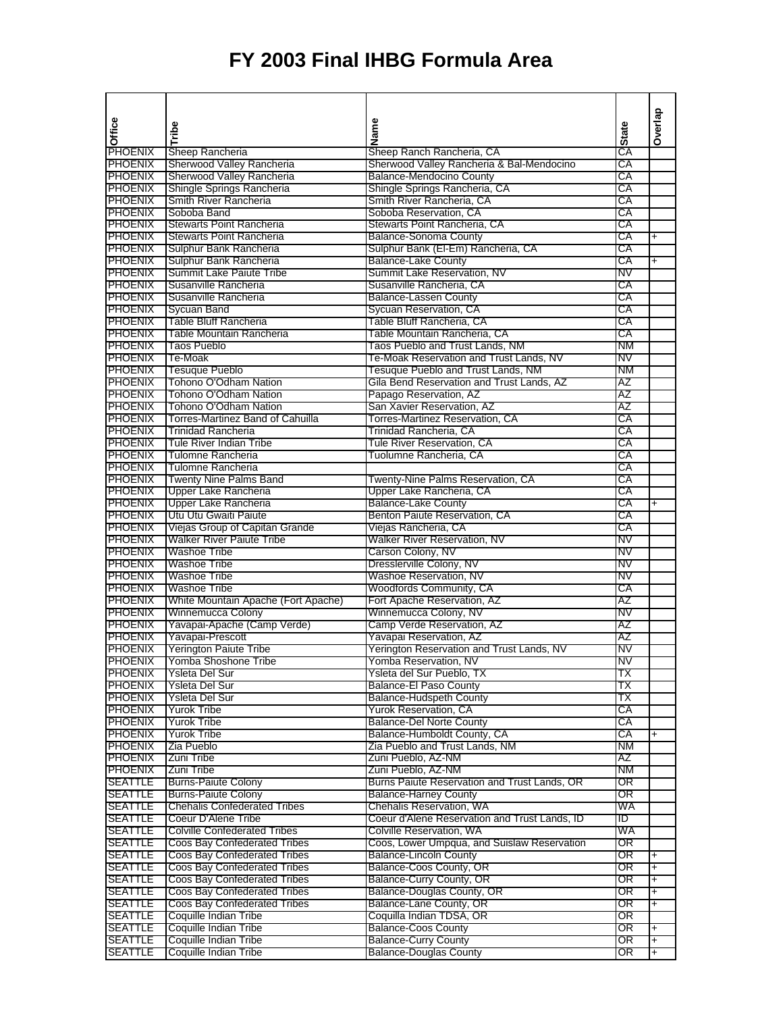| Office                           |                                                    | Name                                                          |              | Overlap                  |
|----------------------------------|----------------------------------------------------|---------------------------------------------------------------|--------------|--------------------------|
|                                  | Tribe                                              |                                                               | <b>State</b> |                          |
| <b>PHOENIX</b>                   | Sheep Rancheria                                    | Sheep Ranch Rancheria, CA                                     | СA           |                          |
| <b>PHOENIX</b>                   | Sherwood Valley Rancheria                          | Sherwood Valley Rancheria & Bal-Mendocino                     | СA           |                          |
| <b>PHOENIX</b>                   | Sherwood Valley Rancheria                          | <b>Balance-Mendocino County</b>                               | СA           |                          |
| <b>PHOENIX</b>                   | Shingle Springs Rancheria                          | Shingle Springs Rancheria, CA                                 | СA           |                          |
| <b>PHOENIX</b>                   | Smith River Rancheria                              | Smith River Rancheria, CA                                     | СA           |                          |
| <b>PHOENIX</b>                   | Soboba Band                                        | Soboba Reservation, CA                                        | СA           |                          |
| <b>PHOENIX</b>                   | <b>Stewarts Point Rancheria</b>                    | Stewarts Point Rancheria, CA                                  | СA           |                          |
| <b>PHOENIX</b>                   | Stewarts Point Rancheria                           | <b>Balance-Sonoma County</b>                                  | СA<br>СA     | +                        |
| <b>PHOENIX</b>                   | Sulphur Bank Rancheria                             | Sulphur Bank (El-Em) Rancheria, CA                            |              |                          |
| <b>PHOENIX</b><br><b>PHOENIX</b> | Sulphur Bank Rancheria<br>Summit Lake Paiute Tribe | <b>Balance-Lake County</b><br>Summit Lake Reservation, NV     | СA<br>NV     | $\ddot{}$                |
| <b>PHOENIX</b>                   | Susanville Rancheria                               | Susanville Rancheria, CA                                      | СA           |                          |
| <b>PHOENIX</b>                   | Susanville Rancheria                               | <b>Balance-Lassen County</b>                                  | СA           |                          |
| <b>PHOENIX</b>                   | Sycuan Band                                        | Sycuan Reservation, CA                                        | СA           |                          |
| <b>PHOENIX</b>                   | <b>Table Bluff Rancheria</b>                       | Table Bluff Rancheria, CA                                     | СA           |                          |
| <b>PHOENIX</b>                   | Table Mountain Rancheria                           | Table Mountain Rancheria, CA                                  | СA           |                          |
| <b>PHOENIX</b>                   | Taos Pueblo                                        | Taos Pueblo and Trust Lands, NM                               | <b>NM</b>    |                          |
| <b>PHOENIX</b>                   | Te-Moak                                            | Te-Moak Reservation and Trust Lands, NV                       | NV           |                          |
| <b>PHOENIX</b>                   | <b>Tesuque Pueblo</b>                              | Tesuque Pueblo and Trust Lands, NM                            | <b>NM</b>    |                          |
| <b>PHOENIX</b>                   | Tohono O'Odham Nation                              | Gila Bend Reservation and Trust Lands, AZ                     | AZ           |                          |
| <b>PHOENIX</b>                   | Tohono O'Odham Nation                              | Papago Reservation, AZ                                        | AZ           |                          |
| <b>PHOENIX</b>                   | Tohono O'Odham Nation                              | San Xavier Reservation, AZ                                    | AZ           |                          |
| <b>PHOENIX</b>                   | Torres-Martinez Band of Cahuilla                   | Torres-Martinez Reservation, CA                               | СA           |                          |
| <b>PHOENIX</b>                   | <b>Trinidad Rancheria</b>                          | Trinidad Rancheria, CA                                        | CA           |                          |
| <b>PHOENIX</b>                   | Tule River Indian Tribe                            | Tule River Reservation, CA                                    | СA           |                          |
| <b>PHOENIX</b>                   | Tulomne Rancheria                                  | Tuolumne Rancheria, CA                                        | СA           |                          |
| <b>PHOENIX</b>                   | <b>Tulomne Rancheria</b>                           |                                                               | СA           |                          |
| PHOENIX                          | <b>Twenty Nine Palms Band</b>                      | Twenty-Nine Palms Reservation, CA                             | СA           |                          |
| <b>PHOENIX</b>                   | Upper Lake Rancheria                               | Upper Lake Rancheria, CA                                      | СA           |                          |
| <b>PHOENIX</b>                   | Upper Lake Rancheria                               | <b>Balance-Lake County</b>                                    | СA           | $\ddot{}$                |
| <b>PHOENIX</b>                   | Utu Utu Gwaiti Paiute                              | Benton Paiute Reservation, CA                                 | СA           |                          |
| <b>PHOENIX</b>                   | Viejas Group of Capitan Grande                     | Viejas Rancheria, CA                                          | СA           |                          |
| <b>PHOENIX</b>                   | <b>Walker River Paiute Tribe</b>                   | Walker River Reservation, NV                                  | NV           |                          |
| <b>PHOENIX</b>                   | <b>Washoe Tribe</b>                                | Carson Colony, NV                                             | NV           |                          |
| <b>PHOENIX</b>                   | Washoe Tribe                                       | Dresslerville Colony, NV                                      | N٧           |                          |
| <b>PHOENIX</b>                   | Washoe Tribe                                       | Washoe Reservation, NV                                        | NV           |                          |
| <b>PHOENIX</b>                   | Washoe Tribe                                       | Woodfords Community, CA                                       | СA           |                          |
| <b>PHOENIX</b>                   | White Mountain Apache (Fort Apache)                | Fort Apache Reservation, AZ                                   | AZ           |                          |
| <b>PHOENIX</b>                   | <b>Winnemucca Colony</b>                           | Winnemucca Colony, NV                                         | NV           |                          |
| <b>PHOENIX</b>                   | Yavapai-Apache (Camp Verde)                        | Camp Verde Reservation, AZ                                    | AZ           |                          |
| <b>PHOENIX</b>                   | Yavapai-Prescott                                   | Yavapai Reservation, AZ                                       | AΖ           |                          |
| <b>PHOENIX</b>                   | <b>Yerington Paiute Tribe</b>                      | Yerington Reservation and Trust Lands, NV                     | NV           |                          |
| PHOENIX                          | Yomba Shoshone Tribe                               | Yomba Reservation, NV                                         | N۷           |                          |
| PHOENIX                          | Ysleta Del Sur                                     | Ysleta del Sur Pueblo, TX                                     | ТX           |                          |
| <b>PHOENIX</b>                   | Ysleta Del Sur                                     | <b>Balance-El Paso County</b>                                 | ТX           |                          |
| <b>PHOENIX</b>                   | Ysleta Del Sur                                     | <b>Balance-Hudspeth County</b>                                | ΤХ           |                          |
| <b>PHOENIX</b><br><b>PHOENIX</b> | <b>Yurok Tribe</b><br><b>Yurok Tribe</b>           | Yurok Reservation, CA                                         | CA           |                          |
|                                  |                                                    | <b>Balance-Del Norte County</b>                               | СA           |                          |
| <b>PHOENIX</b><br><b>PHOENIX</b> | <b>Yurok Tribe</b><br>Zia Pueblo                   | Balance-Humboldt County, CA<br>Zia Pueblo and Trust Lands, NM | СA<br>NM.    | $\ddot{}$                |
| <b>PHOENIX</b>                   | Zuni Tribe                                         | Zuni Pueblo, AZ-NM                                            | AZ           |                          |
| <b>PHOENIX</b>                   | Zuni Tribe                                         | Zuni Pueblo, AZ-NM                                            | NM           |                          |
| <b>SEATTLE</b>                   | <b>Burns-Paiute Colony</b>                         | Burns Paiute Reservation and Trust Lands, OR                  | OR           |                          |
| <b>SEATTLE</b>                   | <b>Burns-Paiute Colony</b>                         | <b>Balance-Harney County</b>                                  | OR           |                          |
| <b>SEATTLE</b>                   | <b>Chehalis Confederated Tribes</b>                | <b>Chehalis Reservation, WA</b>                               | WA           |                          |
| <b>SEATTLE</b>                   | Coeur D'Alene Tribe                                | Coeur d'Alene Reservation and Trust Lands, ID                 | ID           |                          |
| <b>SEATTLE</b>                   | <b>Colville Confederated Tribes</b>                | Colville Reservation, WA                                      | WA           |                          |
| <b>SEATTLE</b>                   | Coos Bay Confederated Tribes                       | Coos, Lower Umpqua, and Suislaw Reservation                   | OR           |                          |
| <b>SEATTLE</b>                   | Coos Bay Confederated Tribes                       | <b>Balance-Lincoln County</b>                                 | OR           | $\ddot{}$                |
| <b>SEATTLE</b>                   | Coos Bay Confederated Tribes                       | Balance-Coos County, OR                                       | OR           | $\ddot{}$                |
| <b>SEATTLE</b>                   | <b>Coos Bay Confederated Tribes</b>                | Balance-Curry County, OR                                      | OR           | $\ddot{}$                |
| <b>SEATTLE</b>                   | <b>Coos Bay Confederated Tribes</b>                | Balance-Douglas County, OR                                    | OR           | +                        |
| <b>SEATTLE</b>                   | Coos Bay Confederated Tribes                       | Balance-Lane County, OR                                       | OR           | $\ddot{}$                |
| <b>SEATTLE</b>                   | Coquille Indian Tribe                              | Coquilla Indian TDSA, OR                                      | OR           |                          |
| <b>SEATTLE</b>                   | Coquille Indian Tribe                              | <b>Balance-Coos County</b>                                    | OR           | +                        |
| <b>SEATTLE</b>                   | Coquille Indian Tribe                              | <b>Balance-Curry County</b>                                   | OR           | $\overline{\phantom{0}}$ |
| <b>SEATTLE</b>                   | Coquille Indian Tribe                              | <b>Balance-Douglas County</b>                                 | OR           | $\ddot{}$                |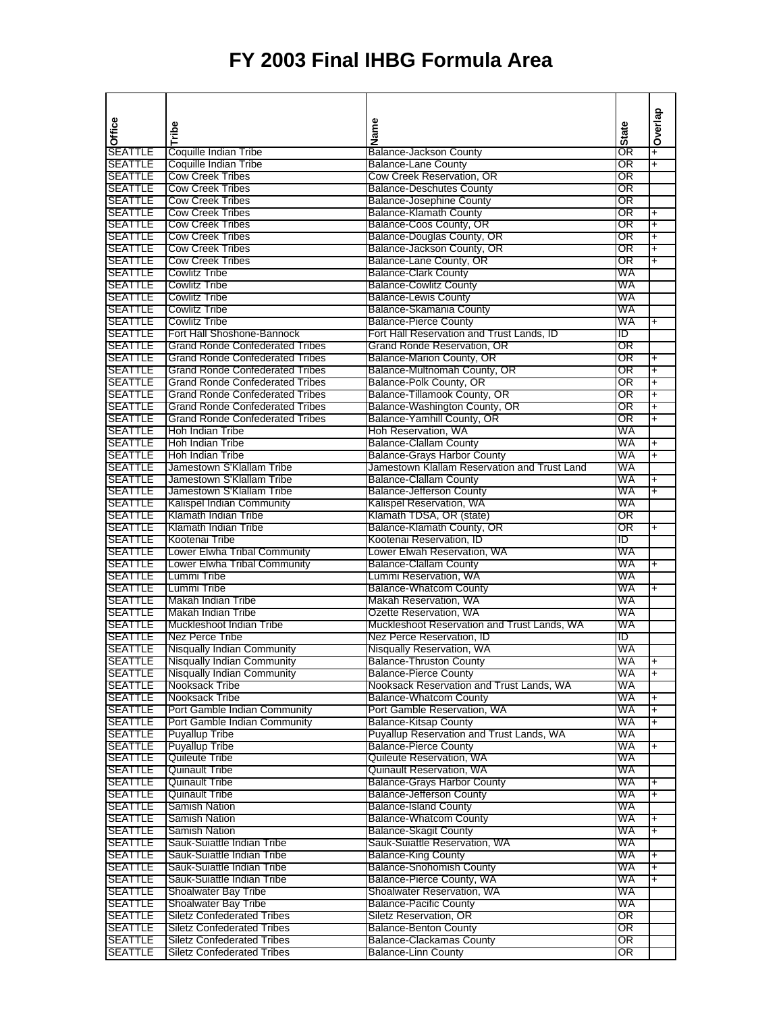|                                  |                                                          |                                                                                    |              | Overlap                  |
|----------------------------------|----------------------------------------------------------|------------------------------------------------------------------------------------|--------------|--------------------------|
| Office                           | Tribe                                                    | Name                                                                               | <b>State</b> |                          |
|                                  |                                                          |                                                                                    |              |                          |
| SEATTLE                          | Coquille Indian Tribe                                    | <b>Balance-Jackson County</b>                                                      | OR           | $\overline{+}$           |
| <b>SEATTLE</b><br><b>SEATTLE</b> | Coquille Indian Tribe<br><b>Cow Creek Tribes</b>         | <b>Balance-Lane County</b><br>Cow Creek Reservation, OR                            | OR<br>OR     | Ŧ                        |
| <b>SEATTLE</b>                   | <b>Cow Creek Tribes</b>                                  | <b>Balance-Deschutes County</b>                                                    | OR           |                          |
| <b>SEATTLE</b>                   | <b>Cow Creek Tribes</b>                                  | <b>Balance-Josephine County</b>                                                    | OR           |                          |
| <b>SEATTLE</b>                   | <b>Cow Creek Tribes</b>                                  | <b>Balance-Klamath County</b>                                                      | OR           | $\ddot{}$                |
| <b>SEATTLE</b>                   | <b>Cow Creek Tribes</b>                                  | Balance-Coos County, OR                                                            | OR           | Ŧ                        |
| <b>SEATTLE</b>                   | <b>Cow Creek Tribes</b>                                  | Balance-Douglas County, OR                                                         | OR           | $\overline{+}$           |
| <b>SEATTLE</b>                   | <b>Cow Creek Tribes</b>                                  | Balance-Jackson County, OR                                                         | OR           | $\overline{+}$           |
| <b>SEATTLE</b>                   | <b>Cow Creek Tribes</b>                                  | Balance-Lane County, OR                                                            | OR           | Ŧ                        |
| <b>SEATTLE</b>                   | Cowlitz Tribe                                            | <b>Balance-Clark County</b>                                                        | WA           |                          |
| <b>SEATTLE</b>                   | <b>Cowlitz Tribe</b>                                     | <b>Balance-Cowlitz County</b>                                                      | WA           |                          |
| <b>SEATTLE</b><br><b>SEATTLE</b> | <b>Cowlitz Tribe</b><br><b>Cowlitz Tribe</b>             | <b>Balance-Lewis County</b><br>Balance-Skamania County                             | WA<br>WA     |                          |
| <b>SEATTLE</b>                   | <b>Cowlitz Tribe</b>                                     | <b>Balance-Pierce County</b>                                                       | WA           | $\ddot{}$                |
| <b>SEATTLE</b>                   | Fort Hall Shoshone-Bannock                               | Fort Hall Reservation and Trust Lands, ID                                          | סו           |                          |
| <b>SEATTLE</b>                   | <b>Grand Ronde Confederated Tribes</b>                   | Grand Ronde Reservation, OR                                                        | OR           |                          |
| <b>SEATTLE</b>                   | <b>Grand Ronde Confederated Tribes</b>                   | Balance-Marion County, OR                                                          | OR           | $\ddot{}$                |
| <b>SEATTLE</b>                   | <b>Grand Ronde Confederated Tribes</b>                   | Balance-Multnomah County, OR                                                       | OR           | Ŧ                        |
| <b>SEATTLE</b>                   | <b>Grand Ronde Confederated Tribes</b>                   | Balance-Polk County, OR                                                            | OR           | Ŧ                        |
| <b>SEATTLE</b>                   | <b>Grand Ronde Confederated Tribes</b>                   | Balance-Tillamook County, OR                                                       | OR           | $\overline{+}$           |
| <b>SEATTLE</b>                   | <b>Grand Ronde Confederated Tribes</b>                   | Balance-Washington County, OR                                                      | OR           | $\ddot{}$                |
| <b>SEATTLE</b>                   | <b>Grand Ronde Confederated Tribes</b>                   | Balance-Yamhill County, OR                                                         | OR           | Ŧ                        |
| <b>SEATTLE</b>                   | Hoh Indian Tribe                                         | Hoh Reservation, WA                                                                | WA           |                          |
| <b>SEATTLE</b>                   | <b>Hoh Indian Tribe</b>                                  | <b>Balance-Clallam County</b>                                                      | WA           | $\ddot{}$                |
| <b>SEATTLE</b><br><b>SEATTLE</b> | <b>Hoh Indian Tribe</b><br>Jamestown S'Klallam Tribe     | <b>Balance-Grays Harbor County</b><br>Jamestown Klallam Reservation and Trust Land | WA<br>WA     | $\overline{+}$           |
| <b>SEATTLE</b>                   | Jamestown S'Klallam Tribe                                | <b>Balance-Clallam County</b>                                                      | WA           | $\ddot{}$                |
| <b>SEATTLE</b>                   | Jamestown S'Klallam Tribe                                | <b>Balance-Jefferson County</b>                                                    | WA           | $\overline{\phantom{0}}$ |
| <b>SEATTLE</b>                   | Kalispel Indian Community                                | Kalispel Reservation, WA                                                           | WA           |                          |
| <b>SEATTLE</b>                   | Klamath Indian Tribe                                     | Klamath TDSA, OR (state)                                                           | OR           |                          |
| <b>SEATTLE</b>                   | Klamath Indian Tribe                                     | Balance-Klamath County, OR                                                         | OR           | $\ddot{}$                |
| <b>SEATTLE</b>                   | Kootenai Tribe                                           | Kootenai Reservation, ID                                                           | סו           |                          |
| <b>SEATTLE</b>                   | Lower Elwha Tribal Community                             | Lower Elwah Reservation, WA                                                        | WA           |                          |
| <b>SEATTLE</b>                   | Lower Elwha Tribal Community                             | <b>Balance-Clallam County</b>                                                      | WA           | $\overline{\phantom{0}}$ |
| <b>SEATTLE</b>                   | Lummi Tribe                                              | Lummi Reservation, WA                                                              | WA           |                          |
| <b>SEATTLE</b><br><b>SEATTLE</b> | Lummi Tribe<br>Makah Indian Tribe                        | <b>Balance-Whatcom County</b><br>Makah Reservation, WA                             | WA<br>WA     | $\overline{+}$           |
| <b>SEATTLE</b>                   | Makah Indian Tribe                                       | Ozette Reservation, WA                                                             | WA           |                          |
| <b>SEATTLE</b>                   | Muckleshoot Indian Tribe                                 | Muckleshoot Reservation and Trust Lands, WA                                        | WA           |                          |
| <b>SEATTLE</b>                   | Nez Perce Tribe                                          | Nez Perce Reservation, ID                                                          | סו           |                          |
| <b>SEATTLE</b>                   | Nisqually Indian Community                               | Nisqually Reservation, WA                                                          | WA           |                          |
| <b>SEATTLE</b>                   | Nisqually Indian Community                               | <b>Balance-Thruston County</b>                                                     | WA           | $+$                      |
| <b>SEATTLE</b>                   | <b>Nisqually Indian Community</b>                        | <b>Balance-Pierce County</b>                                                       | WA           | $\overline{+}$           |
| <b>SEATTLE</b>                   | Nooksack Tribe                                           | Nooksack Reservation and Trust Lands, WA                                           | WA           |                          |
| <b>SEATTLE</b>                   | Nooksack Tribe                                           | <b>Balance-Whatcom County</b>                                                      | WA           |                          |
| <b>SEATTLE</b>                   | Port Gamble Indian Community                             | Port Gamble Reservation, WA                                                        | WA           | $\ddot{}$                |
| <b>SEATTLE</b><br><b>SEATTLE</b> | Port Gamble Indian Community<br><b>Puyallup Tribe</b>    | <b>Balance-Kitsap County</b><br>Puyallup Reservation and Trust Lands, WA           | WA<br>WA     | $\ddot{}$                |
| <b>SEATTLE</b>                   | <b>Puyallup Tribe</b>                                    | <b>Balance-Pierce County</b>                                                       | WA           | $\ddot{}$                |
| <b>SEATTLE</b>                   | Quileute Tribe                                           | Quileute Reservation, WA                                                           | WA           |                          |
| <b>SEATTLE</b>                   | <b>Quinault Tribe</b>                                    | <b>Quinault Reservation, WA</b>                                                    | WA           |                          |
| <b>SEATTLE</b>                   | <b>Quinault Tribe</b>                                    | <b>Balance-Grays Harbor County</b>                                                 | WA           | +                        |
| <b>SEATTLE</b>                   | <b>Quinault Tribe</b>                                    | <b>Balance-Jefferson County</b>                                                    | WA           | $\overline{\phantom{0}}$ |
| <b>SEATTLE</b>                   | Samish Nation                                            | <b>Balance-Island County</b>                                                       | WA           |                          |
| <b>SEATTLE</b>                   | Samish Nation                                            | <b>Balance-Whatcom County</b>                                                      | WA           | $\ddot{}$                |
| <b>SEATTLE</b>                   | Samish Nation                                            | <b>Balance-Skagit County</b>                                                       | WA           | +                        |
| <b>SEATTLE</b>                   | Sauk-Suiattle Indian Tribe                               | Sauk-Suiattle Reservation, WA                                                      | WA           |                          |
| <b>SEATTLE</b>                   | Sauk-Suiattle Indian Tribe                               | <b>Balance-King County</b><br><b>Balance-Snohomish County</b>                      | WA           | +                        |
| <b>SEATTLE</b><br><b>SEATTLE</b> | Sauk-Suiattle Indian Tribe<br>Sauk-Suiattle Indian Tribe | Balance-Pierce County, WA                                                          | WA<br>WA     | +<br>Ŧ                   |
| <b>SEATTLE</b>                   | <b>Shoalwater Bay Tribe</b>                              | Shoalwater Reservation, WA                                                         | WA           |                          |
| <b>SEATTLE</b>                   | Shoalwater Bay Tribe                                     | <b>Balance-Pacific County</b>                                                      | WA           |                          |
| <b>SEATTLE</b>                   | <b>Siletz Confederated Tribes</b>                        | Siletz Reservation, OR                                                             | OR           |                          |
| <b>SEATTLE</b>                   | <b>Siletz Confederated Tribes</b>                        | <b>Balance-Benton County</b>                                                       | OR           |                          |
| <b>SEATTLE</b>                   | <b>Siletz Confederated Tribes</b>                        | <b>Balance-Clackamas County</b>                                                    | OR           |                          |
| <b>SEATTLE</b>                   | <b>Siletz Confederated Tribes</b>                        | <b>Balance-Linn County</b>                                                         | OR           |                          |